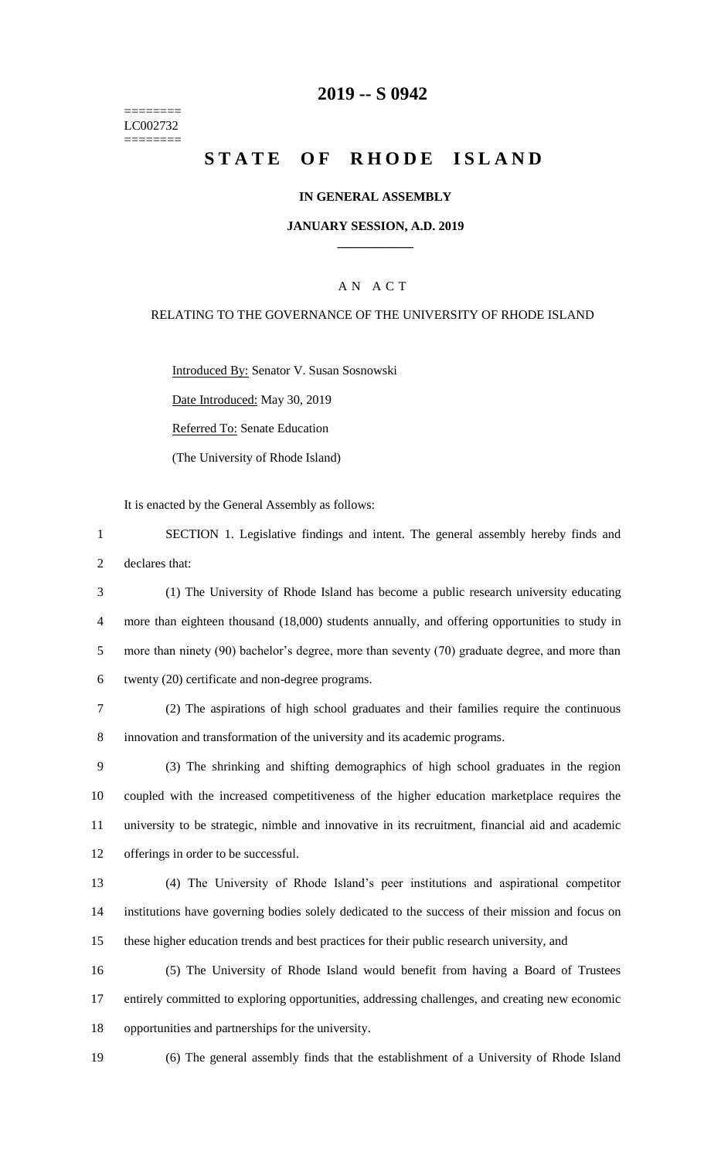======== LC002732 ========

## **2019 -- S 0942**

## **STATE OF RHODE ISLAND**

#### **IN GENERAL ASSEMBLY**

#### **JANUARY SESSION, A.D. 2019 \_\_\_\_\_\_\_\_\_\_\_\_**

## A N A C T

#### RELATING TO THE GOVERNANCE OF THE UNIVERSITY OF RHODE ISLAND

Introduced By: Senator V. Susan Sosnowski

Date Introduced: May 30, 2019

Referred To: Senate Education

(The University of Rhode Island)

It is enacted by the General Assembly as follows:

1 SECTION 1. Legislative findings and intent. The general assembly hereby finds and 2 declares that:

 (1) The University of Rhode Island has become a public research university educating more than eighteen thousand (18,000) students annually, and offering opportunities to study in 5 more than ninety (90) bachelor's degree, more than seventy (70) graduate degree, and more than twenty (20) certificate and non-degree programs.

7 (2) The aspirations of high school graduates and their families require the continuous 8 innovation and transformation of the university and its academic programs.

 (3) The shrinking and shifting demographics of high school graduates in the region coupled with the increased competitiveness of the higher education marketplace requires the university to be strategic, nimble and innovative in its recruitment, financial aid and academic offerings in order to be successful.

13 (4) The University of Rhode Island's peer institutions and aspirational competitor 14 institutions have governing bodies solely dedicated to the success of their mission and focus on 15 these higher education trends and best practices for their public research university, and

16 (5) The University of Rhode Island would benefit from having a Board of Trustees 17 entirely committed to exploring opportunities, addressing challenges, and creating new economic 18 opportunities and partnerships for the university.

19 (6) The general assembly finds that the establishment of a University of Rhode Island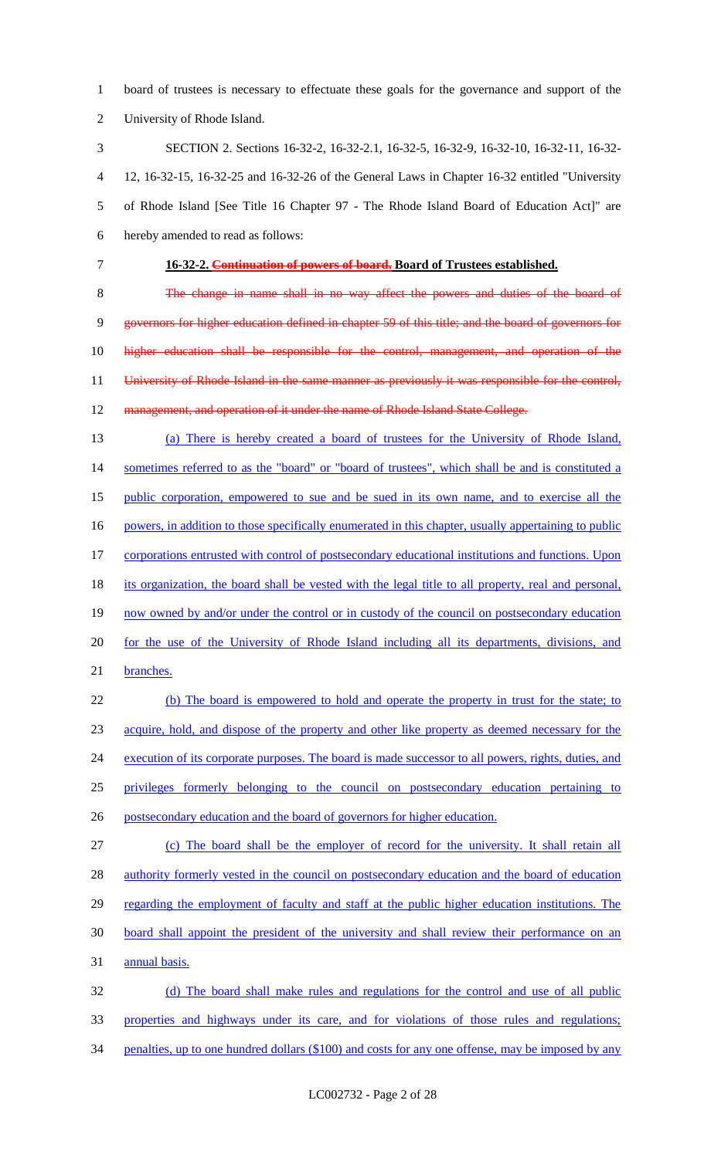board of trustees is necessary to effectuate these goals for the governance and support of the University of Rhode Island.

 SECTION 2. Sections 16-32-2, 16-32-2.1, 16-32-5, 16-32-9, 16-32-10, 16-32-11, 16-32- 12, 16-32-15, 16-32-25 and 16-32-26 of the General Laws in Chapter 16-32 entitled "University of Rhode Island [See Title 16 Chapter 97 - The Rhode Island Board of Education Act]" are hereby amended to read as follows:

**16-32-2. Continuation of powers of board. Board of Trustees established.**

 The change in name shall in no way affect the powers and duties of the board of governors for higher education defined in chapter 59 of this title; and the board of governors for higher education shall be responsible for the control, management, and operation of the 11 University of Rhode Island in the same manner as previously it was responsible for the control, 12 management, and operation of it under the name of Rhode Island State College.

- (a) There is hereby created a board of trustees for the University of Rhode Island, 14 sometimes referred to as the "board" or "board of trustees", which shall be and is constituted a public corporation, empowered to sue and be sued in its own name, and to exercise all the 16 powers, in addition to those specifically enumerated in this chapter, usually appertaining to public 17 corporations entrusted with control of postsecondary educational institutions and functions. Upon its organization, the board shall be vested with the legal title to all property, real and personal, 19 now owned by and/or under the control or in custody of the council on postsecondary education for the use of the University of Rhode Island including all its departments, divisions, and
- branches.

 (b) The board is empowered to hold and operate the property in trust for the state; to acquire, hold, and dispose of the property and other like property as deemed necessary for the 24 execution of its corporate purposes. The board is made successor to all powers, rights, duties, and privileges formerly belonging to the council on postsecondary education pertaining to postsecondary education and the board of governors for higher education.

 (c) The board shall be the employer of record for the university. It shall retain all 28 authority formerly vested in the council on postsecondary education and the board of education 29 regarding the employment of faculty and staff at the public higher education institutions. The board shall appoint the president of the university and shall review their performance on an annual basis.

 (d) The board shall make rules and regulations for the control and use of all public properties and highways under its care, and for violations of those rules and regulations; 34 penalties, up to one hundred dollars (\$100) and costs for any one offense, may be imposed by any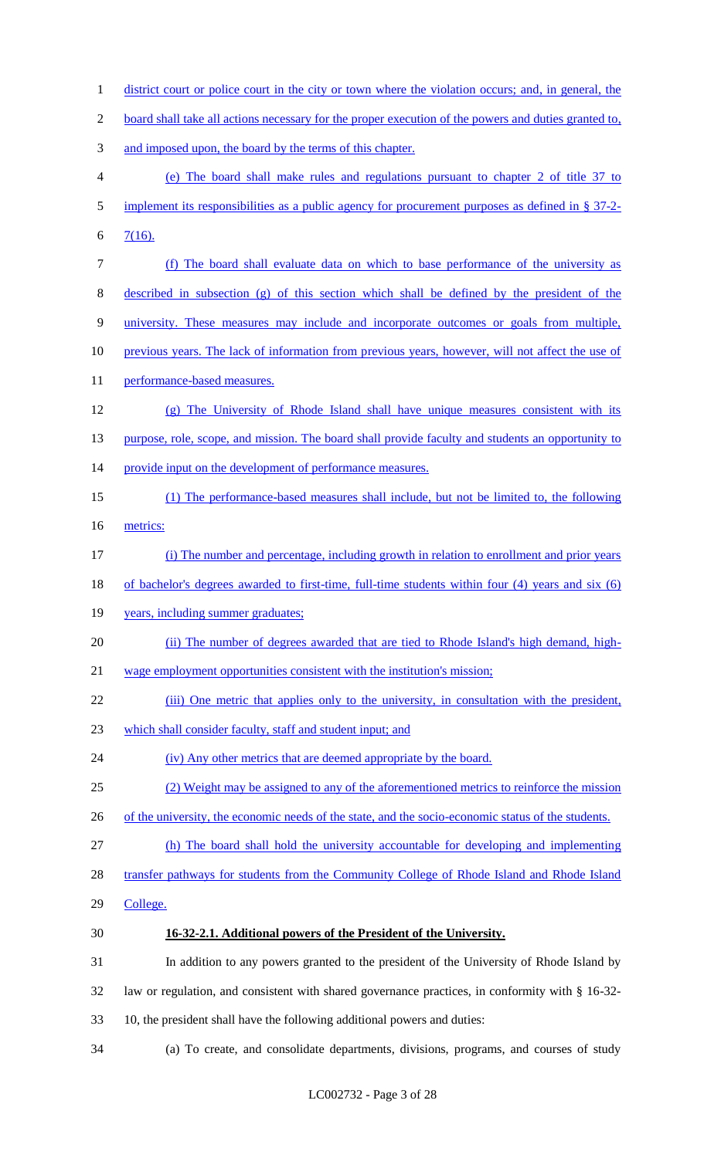district court or police court in the city or town where the violation occurs; and, in general, the board shall take all actions necessary for the proper execution of the powers and duties granted to, and imposed upon, the board by the terms of this chapter. (e) The board shall make rules and regulations pursuant to chapter 2 of title 37 to 5 implement its responsibilities as a public agency for procurement purposes as defined in § 37-2-6  $7(16)$ . (f) The board shall evaluate data on which to base performance of the university as described in subsection (g) of this section which shall be defined by the president of the university. These measures may include and incorporate outcomes or goals from multiple, 10 previous years. The lack of information from previous years, however, will not affect the use of 11 performance-based measures. (g) The University of Rhode Island shall have unique measures consistent with its 13 purpose, role, scope, and mission. The board shall provide faculty and students an opportunity to 14 provide input on the development of performance measures. (1) The performance-based measures shall include, but not be limited to, the following metrics: (i) The number and percentage, including growth in relation to enrollment and prior years of bachelor's degrees awarded to first-time, full-time students within four (4) years and six (6) 19 years, including summer graduates; 20 (ii) The number of degrees awarded that are tied to Rhode Island's high demand, high- wage employment opportunities consistent with the institution's mission; 22 (iii) One metric that applies only to the university, in consultation with the president, which shall consider faculty, staff and student input; and (iv) Any other metrics that are deemed appropriate by the board. (2) Weight may be assigned to any of the aforementioned metrics to reinforce the mission 26 of the university, the economic needs of the state, and the socio-economic status of the students. (h) The board shall hold the university accountable for developing and implementing 28 transfer pathways for students from the Community College of Rhode Island and Rhode Island 29 College. **16-32-2.1. Additional powers of the President of the University.** In addition to any powers granted to the president of the University of Rhode Island by law or regulation, and consistent with shared governance practices, in conformity with § 16-32- 10, the president shall have the following additional powers and duties: (a) To create, and consolidate departments, divisions, programs, and courses of study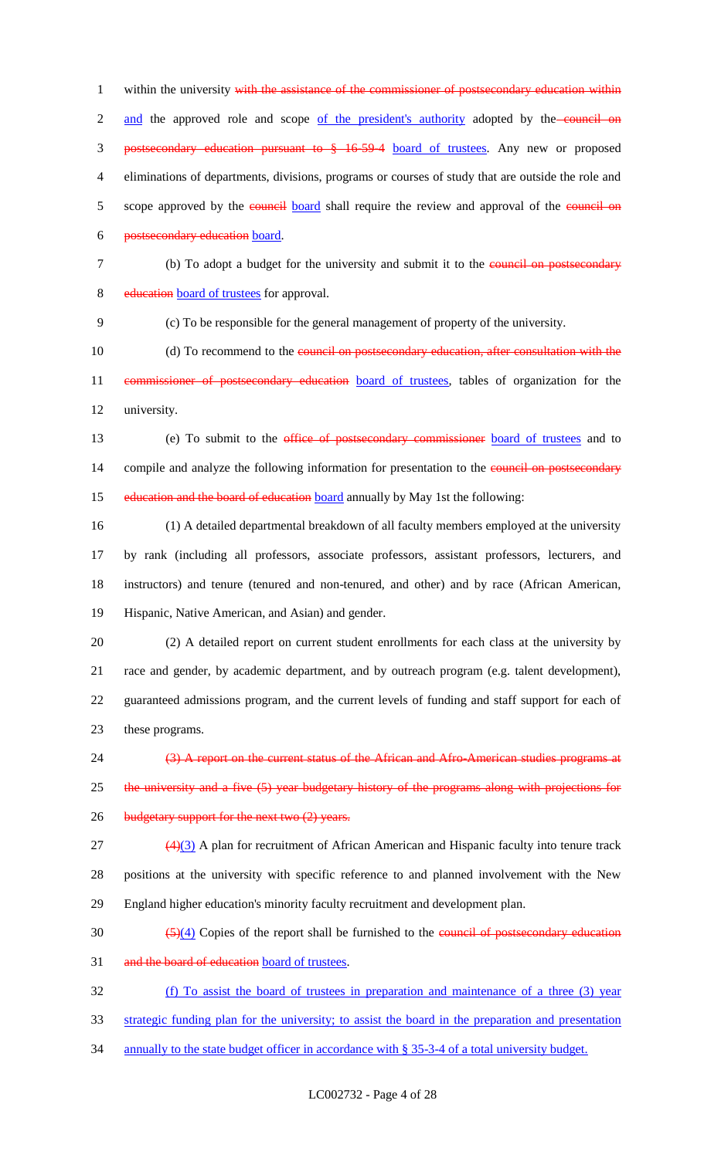1 within the university with the assistance of the commissioner of postsecondary education within 2 and the approved role and scope of the president's authority adopted by the council on 3 postsecondary education pursuant to § 16-59-4 board of trustees. Any new or proposed 4 eliminations of departments, divisions, programs or courses of study that are outside the role and 5 scope approved by the council board shall require the review and approval of the council on 6 postsecondary education board.

7 (b) To adopt a budget for the university and submit it to the council on postsecondary

8 education board of trustees for approval.

9 (c) To be responsible for the general management of property of the university.

10 (d) To recommend to the council on postsecondary education, after consultation with the 11 commissioner of postsecondary education board of trustees, tables of organization for the 12 university.

13 (e) To submit to the office of postsecondary commissioner board of trustees and to 14 compile and analyze the following information for presentation to the council on postsecondary 15 education and the board of education board annually by May 1st the following:

 (1) A detailed departmental breakdown of all faculty members employed at the university by rank (including all professors, associate professors, assistant professors, lecturers, and instructors) and tenure (tenured and non-tenured, and other) and by race (African American, Hispanic, Native American, and Asian) and gender.

 (2) A detailed report on current student enrollments for each class at the university by race and gender, by academic department, and by outreach program (e.g. talent development), guaranteed admissions program, and the current levels of funding and staff support for each of these programs.

24 (3) A report on the current status of the African and Afro-American studies programs at 25 the university and a five (5) year budgetary history of the programs along with projections for 26 budgetary support for the next two (2) years.

27 (4)(3) A plan for recruitment of African American and Hispanic faculty into tenure track 28 positions at the university with specific reference to and planned involvement with the New 29 England higher education's minority faculty recruitment and development plan.

 $\frac{(5)(4)}{2}$  Copies of the report shall be furnished to the council of postsecondary education

31 and the board of education board of trustees.

32 (f) To assist the board of trustees in preparation and maintenance of a three (3) year

33 strategic funding plan for the university; to assist the board in the preparation and presentation

34 annually to the state budget officer in accordance with § 35-3-4 of a total university budget.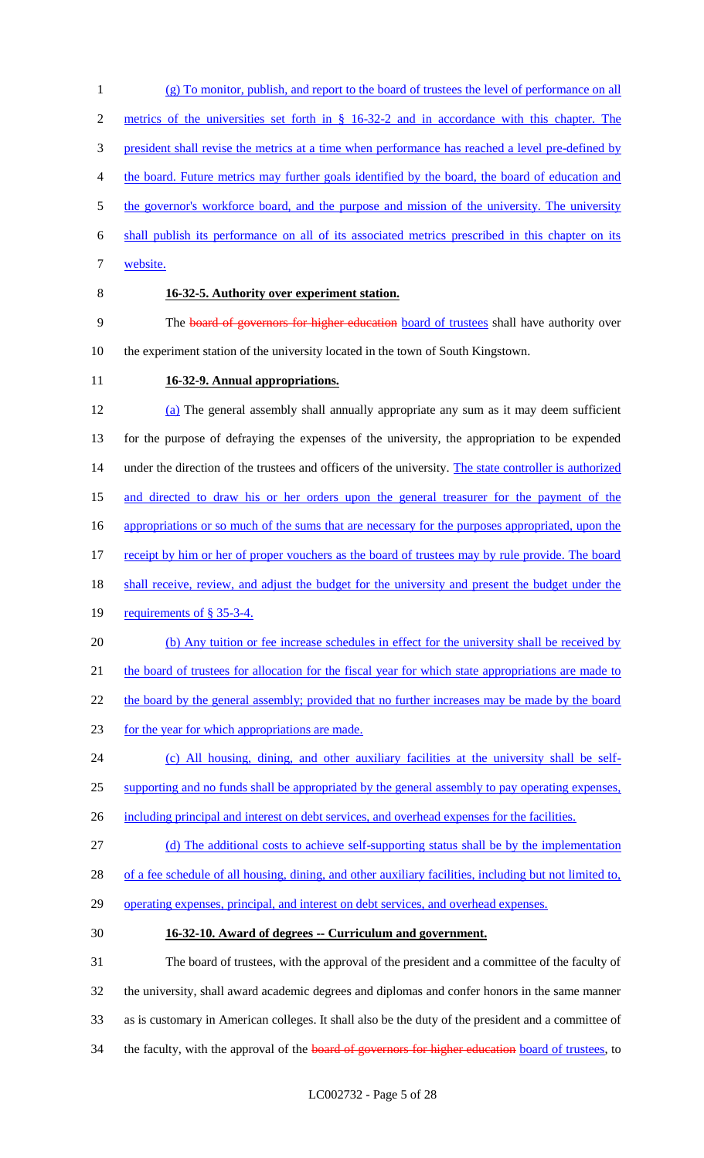(g) To monitor, publish, and report to the board of trustees the level of performance on all metrics of the universities set forth in § 16-32-2 and in accordance with this chapter. The 3 president shall revise the metrics at a time when performance has reached a level pre-defined by the board. Future metrics may further goals identified by the board, the board of education and 5 the governor's workforce board, and the purpose and mission of the university. The university shall publish its performance on all of its associated metrics prescribed in this chapter on its

- 7 website.
- 

## 8 **16-32-5. Authority over experiment station.**

9 The board of governors for higher education board of trustees shall have authority over 10 the experiment station of the university located in the town of South Kingstown.

## 11 **16-32-9. Annual appropriations.**

12 (a) The general assembly shall annually appropriate any sum as it may deem sufficient 13 for the purpose of defraying the expenses of the university, the appropriation to be expended 14 under the direction of the trustees and officers of the university. The state controller is authorized 15 and directed to draw his or her orders upon the general treasurer for the payment of the 16 appropriations or so much of the sums that are necessary for the purposes appropriated, upon the 17 receipt by him or her of proper vouchers as the board of trustees may by rule provide. The board 18 shall receive, review, and adjust the budget for the university and present the budget under the 19 requirements of § 35-3-4. 20 (b) Any tuition or fee increase schedules in effect for the university shall be received by

21 the board of trustees for allocation for the fiscal year for which state appropriations are made to

22 the board by the general assembly; provided that no further increases may be made by the board

- 23 for the year for which appropriations are made.
- 24 (c) All housing, dining, and other auxiliary facilities at the university shall be self-
- 25 supporting and no funds shall be appropriated by the general assembly to pay operating expenses,
- 26 including principal and interest on debt services, and overhead expenses for the facilities.
- 27 (d) The additional costs to achieve self-supporting status shall be by the implementation

28 of a fee schedule of all housing, dining, and other auxiliary facilities, including but not limited to,

- 29 operating expenses, principal, and interest on debt services, and overhead expenses.
- 

## 30 **16-32-10. Award of degrees -- Curriculum and government.**

 The board of trustees, with the approval of the president and a committee of the faculty of the university, shall award academic degrees and diplomas and confer honors in the same manner as is customary in American colleges. It shall also be the duty of the president and a committee of 34 the faculty, with the approval of the **board of governors for higher education** board of trustees, to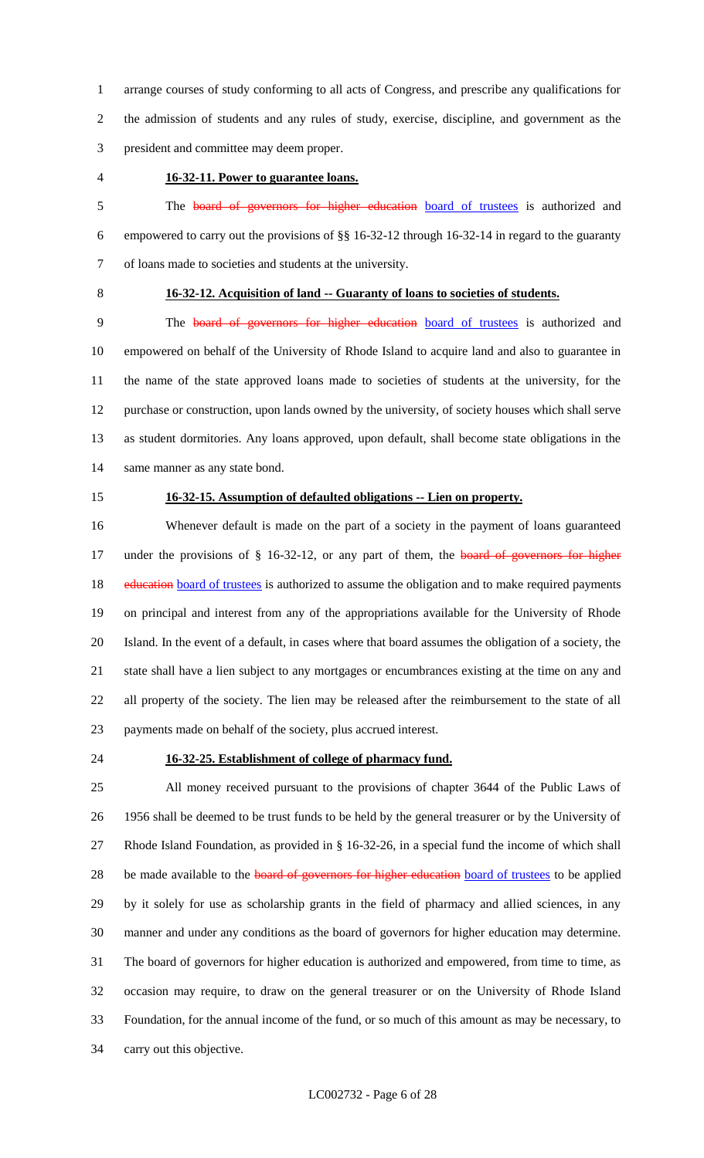arrange courses of study conforming to all acts of Congress, and prescribe any qualifications for the admission of students and any rules of study, exercise, discipline, and government as the president and committee may deem proper.

## **16-32-11. Power to guarantee loans.**

5 The board of governors for higher education board of trustees is authorized and empowered to carry out the provisions of §§ 16-32-12 through 16-32-14 in regard to the guaranty of loans made to societies and students at the university.

## **16-32-12. Acquisition of land -- Guaranty of loans to societies of students.**

 The board of governors for higher education board of trustees is authorized and empowered on behalf of the University of Rhode Island to acquire land and also to guarantee in the name of the state approved loans made to societies of students at the university, for the purchase or construction, upon lands owned by the university, of society houses which shall serve as student dormitories. Any loans approved, upon default, shall become state obligations in the same manner as any state bond.

#### **16-32-15. Assumption of defaulted obligations -- Lien on property.**

 Whenever default is made on the part of a society in the payment of loans guaranteed 17 under the provisions of § 16-32-12, or any part of them, the board of governors for higher 18 education board of trustees is authorized to assume the obligation and to make required payments on principal and interest from any of the appropriations available for the University of Rhode Island. In the event of a default, in cases where that board assumes the obligation of a society, the state shall have a lien subject to any mortgages or encumbrances existing at the time on any and all property of the society. The lien may be released after the reimbursement to the state of all payments made on behalf of the society, plus accrued interest.

### **16-32-25. Establishment of college of pharmacy fund.**

 All money received pursuant to the provisions of chapter 3644 of the Public Laws of 1956 shall be deemed to be trust funds to be held by the general treasurer or by the University of Rhode Island Foundation, as provided in § 16-32-26, in a special fund the income of which shall 28 be made available to the board of governors for higher education board of trustees to be applied by it solely for use as scholarship grants in the field of pharmacy and allied sciences, in any manner and under any conditions as the board of governors for higher education may determine. The board of governors for higher education is authorized and empowered, from time to time, as occasion may require, to draw on the general treasurer or on the University of Rhode Island Foundation, for the annual income of the fund, or so much of this amount as may be necessary, to carry out this objective.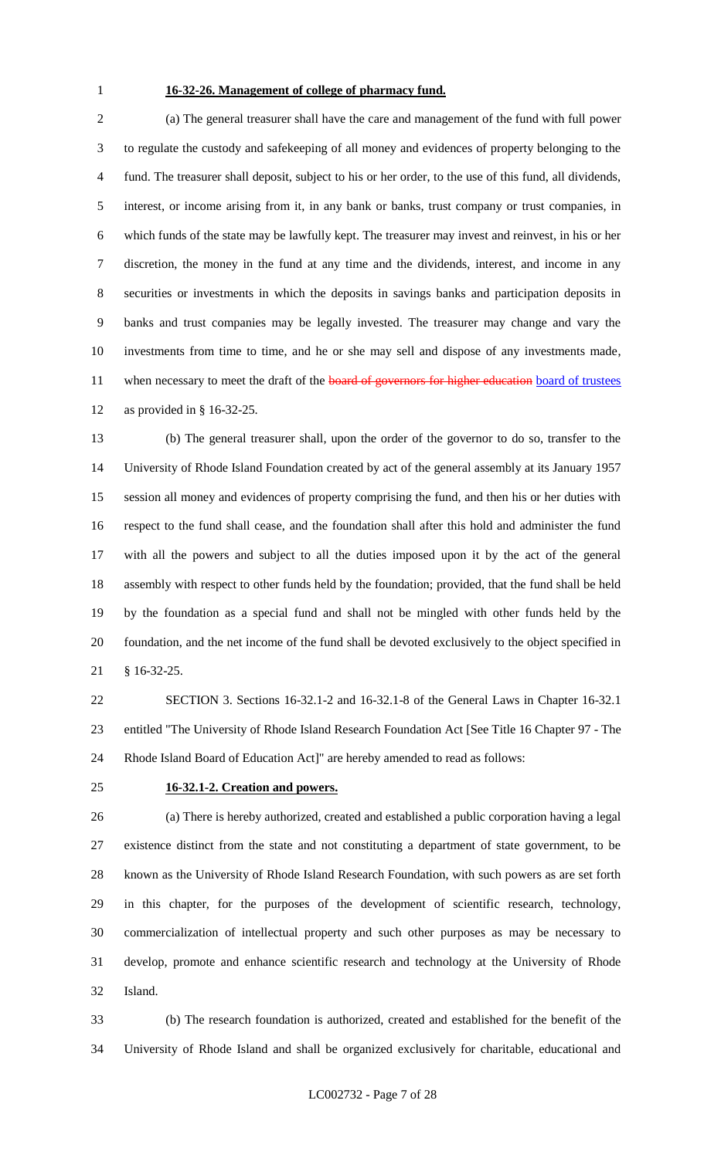## **16-32-26. Management of college of pharmacy fund.**

 (a) The general treasurer shall have the care and management of the fund with full power to regulate the custody and safekeeping of all money and evidences of property belonging to the fund. The treasurer shall deposit, subject to his or her order, to the use of this fund, all dividends, interest, or income arising from it, in any bank or banks, trust company or trust companies, in which funds of the state may be lawfully kept. The treasurer may invest and reinvest, in his or her discretion, the money in the fund at any time and the dividends, interest, and income in any securities or investments in which the deposits in savings banks and participation deposits in banks and trust companies may be legally invested. The treasurer may change and vary the investments from time to time, and he or she may sell and dispose of any investments made, 11 when necessary to meet the draft of the board of governors for higher education board of trustees as provided in § 16-32-25.

 (b) The general treasurer shall, upon the order of the governor to do so, transfer to the University of Rhode Island Foundation created by act of the general assembly at its January 1957 session all money and evidences of property comprising the fund, and then his or her duties with respect to the fund shall cease, and the foundation shall after this hold and administer the fund with all the powers and subject to all the duties imposed upon it by the act of the general assembly with respect to other funds held by the foundation; provided, that the fund shall be held by the foundation as a special fund and shall not be mingled with other funds held by the foundation, and the net income of the fund shall be devoted exclusively to the object specified in § 16-32-25.

 SECTION 3. Sections 16-32.1-2 and 16-32.1-8 of the General Laws in Chapter 16-32.1 entitled "The University of Rhode Island Research Foundation Act [See Title 16 Chapter 97 - The Rhode Island Board of Education Act]" are hereby amended to read as follows:

## **16-32.1-2. Creation and powers.**

 (a) There is hereby authorized, created and established a public corporation having a legal existence distinct from the state and not constituting a department of state government, to be known as the University of Rhode Island Research Foundation, with such powers as are set forth in this chapter, for the purposes of the development of scientific research, technology, commercialization of intellectual property and such other purposes as may be necessary to develop, promote and enhance scientific research and technology at the University of Rhode Island.

 (b) The research foundation is authorized, created and established for the benefit of the University of Rhode Island and shall be organized exclusively for charitable, educational and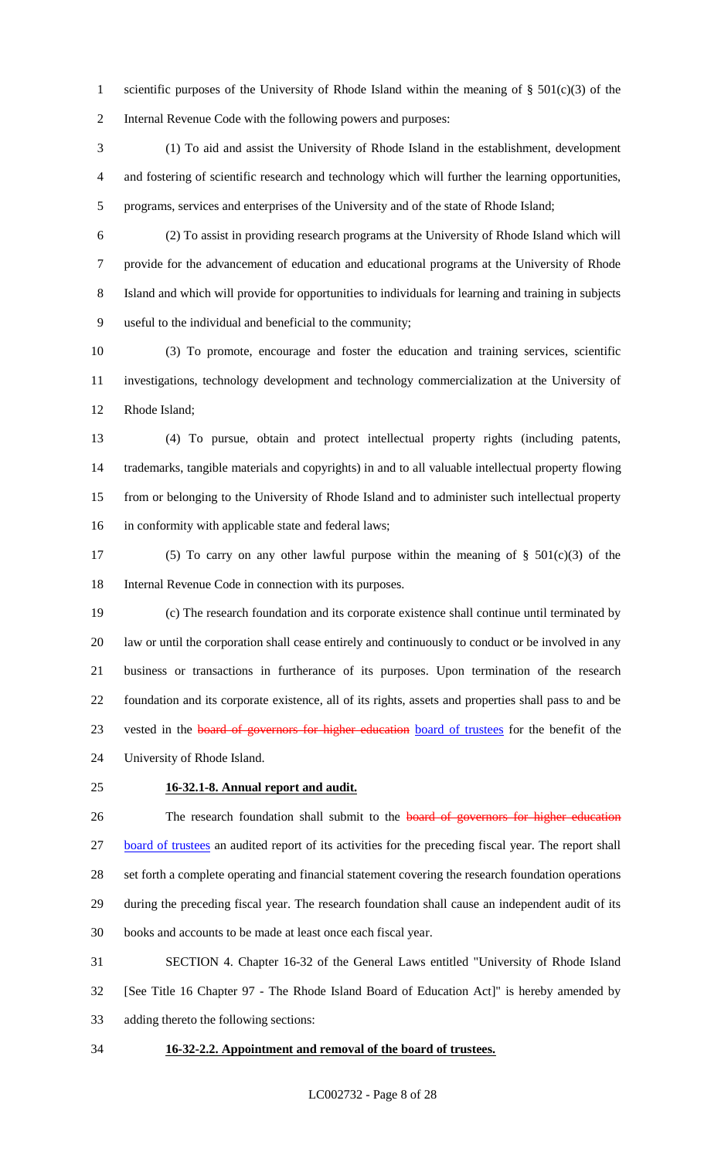scientific purposes of the University of Rhode Island within the meaning of § 501(c)(3) of the Internal Revenue Code with the following powers and purposes:

 (1) To aid and assist the University of Rhode Island in the establishment, development and fostering of scientific research and technology which will further the learning opportunities, programs, services and enterprises of the University and of the state of Rhode Island;

 (2) To assist in providing research programs at the University of Rhode Island which will provide for the advancement of education and educational programs at the University of Rhode Island and which will provide for opportunities to individuals for learning and training in subjects useful to the individual and beneficial to the community;

 (3) To promote, encourage and foster the education and training services, scientific investigations, technology development and technology commercialization at the University of Rhode Island;

 (4) To pursue, obtain and protect intellectual property rights (including patents, trademarks, tangible materials and copyrights) in and to all valuable intellectual property flowing from or belonging to the University of Rhode Island and to administer such intellectual property in conformity with applicable state and federal laws;

 (5) To carry on any other lawful purpose within the meaning of § 501(c)(3) of the Internal Revenue Code in connection with its purposes.

 (c) The research foundation and its corporate existence shall continue until terminated by law or until the corporation shall cease entirely and continuously to conduct or be involved in any business or transactions in furtherance of its purposes. Upon termination of the research foundation and its corporate existence, all of its rights, assets and properties shall pass to and be 23 vested in the **board of governors for higher education** board of trustees for the benefit of the University of Rhode Island.

#### **16-32.1-8. Annual report and audit.**

26 The research foundation shall submit to the **board of governors for higher education**  board of trustees an audited report of its activities for the preceding fiscal year. The report shall set forth a complete operating and financial statement covering the research foundation operations during the preceding fiscal year. The research foundation shall cause an independent audit of its books and accounts to be made at least once each fiscal year.

 SECTION 4. Chapter 16-32 of the General Laws entitled "University of Rhode Island [See Title 16 Chapter 97 - The Rhode Island Board of Education Act]" is hereby amended by adding thereto the following sections:

#### **16-32-2.2. Appointment and removal of the board of trustees.**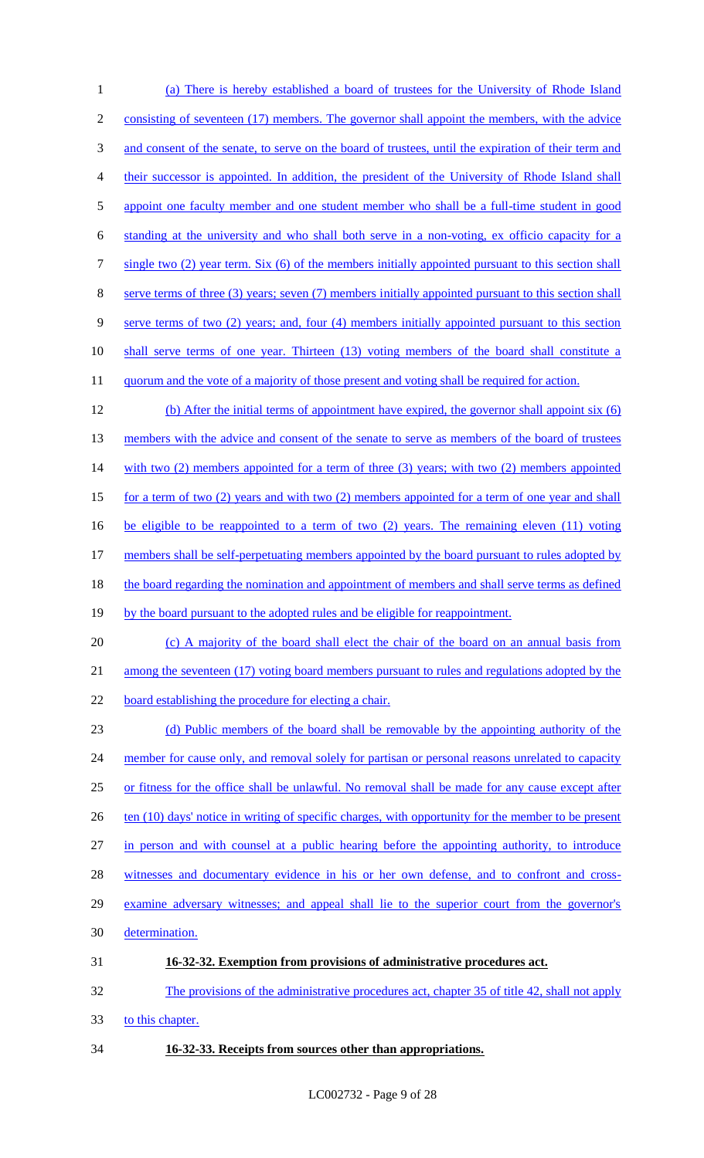1 (a) There is hereby established a board of trustees for the University of Rhode Island 2 consisting of seventeen (17) members. The governor shall appoint the members, with the advice 3 and consent of the senate, to serve on the board of trustees, until the expiration of their term and 4 their successor is appointed. In addition, the president of the University of Rhode Island shall 5 appoint one faculty member and one student member who shall be a full-time student in good 6 standing at the university and who shall both serve in a non-voting, ex officio capacity for a 7 single two (2) year term. Six (6) of the members initially appointed pursuant to this section shall 8 serve terms of three (3) years; seven (7) members initially appointed pursuant to this section shall 9 serve terms of two (2) years; and, four (4) members initially appointed pursuant to this section 10 shall serve terms of one year. Thirteen (13) voting members of the board shall constitute a 11 quorum and the vote of a majority of those present and voting shall be required for action. 12 (b) After the initial terms of appointment have expired, the governor shall appoint six (6) 13 members with the advice and consent of the senate to serve as members of the board of trustees 14 with two (2) members appointed for a term of three (3) years; with two (2) members appointed 15 for a term of two (2) years and with two (2) members appointed for a term of one year and shall 16 be eligible to be reappointed to a term of two (2) years. The remaining eleven (11) voting 17 members shall be self-perpetuating members appointed by the board pursuant to rules adopted by 18 the board regarding the nomination and appointment of members and shall serve terms as defined 19 by the board pursuant to the adopted rules and be eligible for reappointment. 20 (c) A majority of the board shall elect the chair of the board on an annual basis from 21 among the seventeen (17) voting board members pursuant to rules and regulations adopted by the 22 board establishing the procedure for electing a chair. 23 (d) Public members of the board shall be removable by the appointing authority of the 24 member for cause only, and removal solely for partisan or personal reasons unrelated to capacity 25 or fitness for the office shall be unlawful. No removal shall be made for any cause except after 26 ten (10) days' notice in writing of specific charges, with opportunity for the member to be present 27 in person and with counsel at a public hearing before the appointing authority, to introduce 28 witnesses and documentary evidence in his or her own defense, and to confront and cross-29 examine adversary witnesses; and appeal shall lie to the superior court from the governor's 30 determination. 31 **16-32-32. Exemption from provisions of administrative procedures act.** 32 The provisions of the administrative procedures act, chapter 35 of title 42, shall not apply 33 to this chapter.

34 **16-32-33. Receipts from sources other than appropriations.**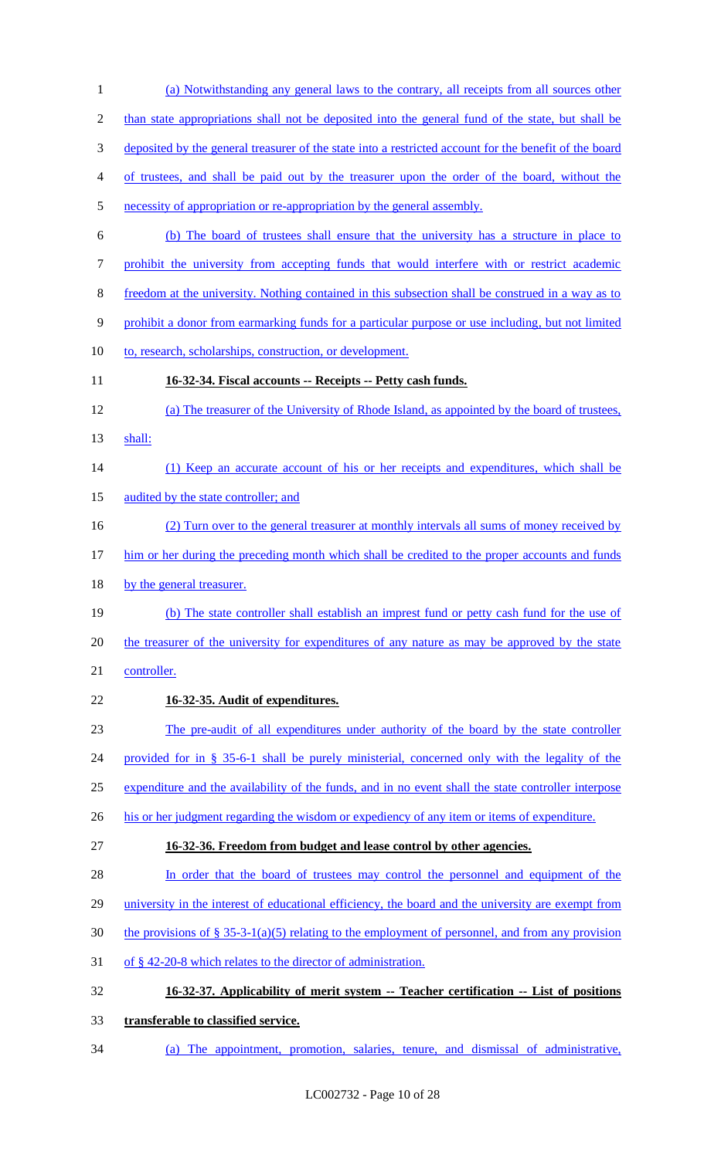(a) Notwithstanding any general laws to the contrary, all receipts from all sources other than state appropriations shall not be deposited into the general fund of the state, but shall be deposited by the general treasurer of the state into a restricted account for the benefit of the board of trustees, and shall be paid out by the treasurer upon the order of the board, without the necessity of appropriation or re-appropriation by the general assembly. (b) The board of trustees shall ensure that the university has a structure in place to prohibit the university from accepting funds that would interfere with or restrict academic freedom at the university. Nothing contained in this subsection shall be construed in a way as to prohibit a donor from earmarking funds for a particular purpose or use including, but not limited 10 to, research, scholarships, construction, or development. **16-32-34. Fiscal accounts -- Receipts -- Petty cash funds.** (a) The treasurer of the University of Rhode Island, as appointed by the board of trustees, shall: 14 (1) Keep an accurate account of his or her receipts and expenditures, which shall be 15 audited by the state controller; and (2) Turn over to the general treasurer at monthly intervals all sums of money received by 17 him or her during the preceding month which shall be credited to the proper accounts and funds 18 by the general treasurer. (b) The state controller shall establish an imprest fund or petty cash fund for the use of the treasurer of the university for expenditures of any nature as may be approved by the state controller. **16-32-35. Audit of expenditures.** The pre-audit of all expenditures under authority of the board by the state controller provided for in § 35-6-1 shall be purely ministerial, concerned only with the legality of the expenditure and the availability of the funds, and in no event shall the state controller interpose 26 his or her judgment regarding the wisdom or expediency of any item or items of expenditure. **16-32-36. Freedom from budget and lease control by other agencies.** 28 In order that the board of trustees may control the personnel and equipment of the 29 university in the interest of educational efficiency, the board and the university are exempt from 30 the provisions of § 35-3-1(a)(5) relating to the employment of personnel, and from any provision of § 42-20-8 which relates to the director of administration. **16-32-37. Applicability of merit system -- Teacher certification -- List of positions transferable to classified service.** (a) The appointment, promotion, salaries, tenure, and dismissal of administrative,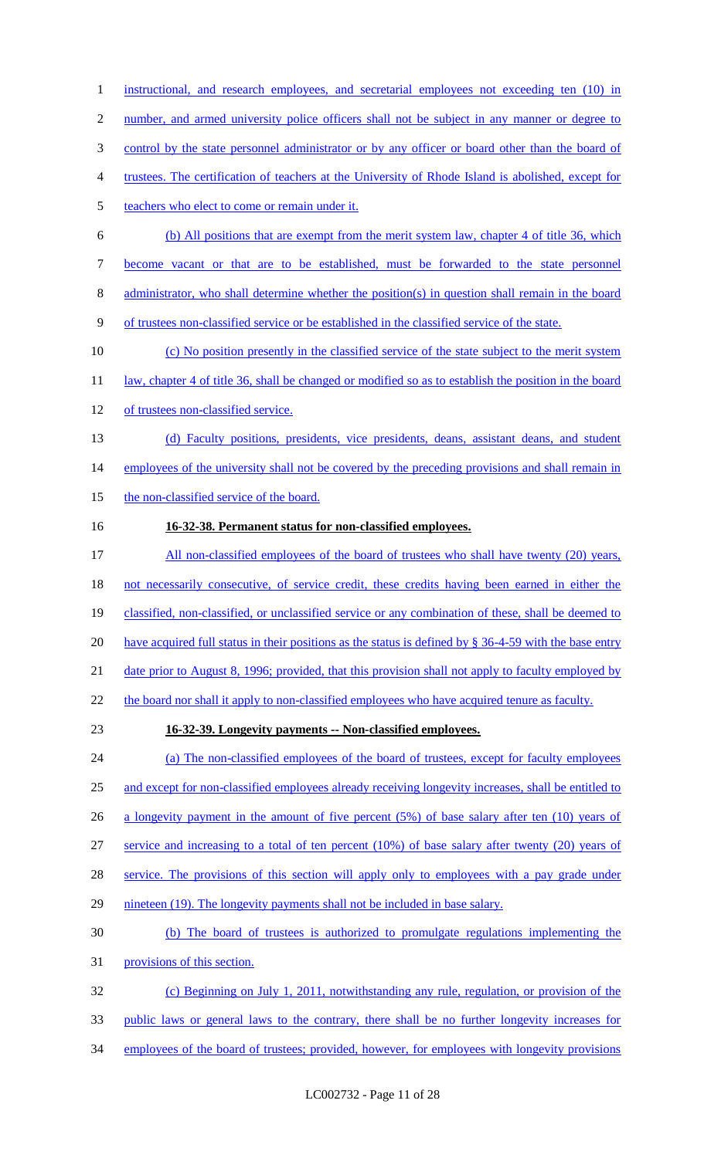1 instructional, and research employees, and secretarial employees not exceeding ten (10) in 2 number, and armed university police officers shall not be subject in any manner or degree to control by the state personnel administrator or by any officer or board other than the board of trustees. The certification of teachers at the University of Rhode Island is abolished, except for 5 teachers who elect to come or remain under it. (b) All positions that are exempt from the merit system law, chapter 4 of title 36, which become vacant or that are to be established, must be forwarded to the state personnel administrator, who shall determine whether the position(s) in question shall remain in the board of trustees non-classified service or be established in the classified service of the state. (c) No position presently in the classified service of the state subject to the merit system 11 law, chapter 4 of title 36, shall be changed or modified so as to establish the position in the board of trustees non-classified service. (d) Faculty positions, presidents, vice presidents, deans, assistant deans, and student 14 employees of the university shall not be covered by the preceding provisions and shall remain in 15 the non-classified service of the board. **16-32-38. Permanent status for non-classified employees.** 17 All non-classified employees of the board of trustees who shall have twenty (20) years, not necessarily consecutive, of service credit, these credits having been earned in either the

19 classified, non-classified, or unclassified service or any combination of these, shall be deemed to 20 have acquired full status in their positions as the status is defined by § 36-4-59 with the base entry 21 date prior to August 8, 1996; provided, that this provision shall not apply to faculty employed by

22 the board nor shall it apply to non-classified employees who have acquired tenure as faculty.

#### 23 **16-32-39. Longevity payments -- Non-classified employees.**

 (a) The non-classified employees of the board of trustees, except for faculty employees and except for non-classified employees already receiving longevity increases, shall be entitled to 26 a longevity payment in the amount of five percent (5%) of base salary after ten (10) years of service and increasing to a total of ten percent (10%) of base salary after twenty (20) years of 28 service. The provisions of this section will apply only to employees with a pay grade under nineteen (19). The longevity payments shall not be included in base salary. (b) The board of trustees is authorized to promulgate regulations implementing the provisions of this section. (c) Beginning on July 1, 2011, notwithstanding any rule, regulation, or provision of the

33 public laws or general laws to the contrary, there shall be no further longevity increases for

34 employees of the board of trustees; provided, however, for employees with longevity provisions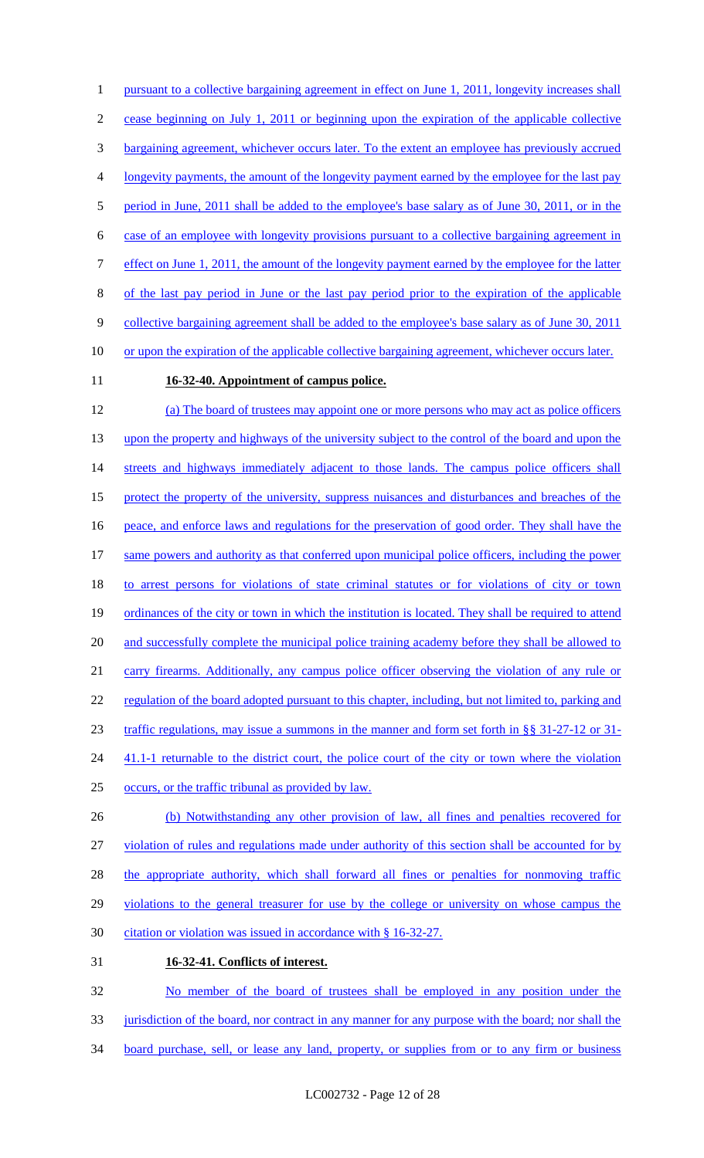1 pursuant to a collective bargaining agreement in effect on June 1, 2011, longevity increases shall 2 cease beginning on July 1, 2011 or beginning upon the expiration of the applicable collective 3 bargaining agreement, whichever occurs later. To the extent an employee has previously accrued 4 longevity payments, the amount of the longevity payment earned by the employee for the last pay 5 period in June, 2011 shall be added to the employee's base salary as of June 30, 2011, or in the 6 case of an employee with longevity provisions pursuant to a collective bargaining agreement in 7 effect on June 1, 2011, the amount of the longevity payment earned by the employee for the latter 8 of the last pay period in June or the last pay period prior to the expiration of the applicable 9 collective bargaining agreement shall be added to the employee's base salary as of June 30, 2011 10 or upon the expiration of the applicable collective bargaining agreement, whichever occurs later.

## 11 **16-32-40. Appointment of campus police.**

12 (a) The board of trustees may appoint one or more persons who may act as police officers 13 upon the property and highways of the university subject to the control of the board and upon the 14 streets and highways immediately adjacent to those lands. The campus police officers shall 15 protect the property of the university, suppress nuisances and disturbances and breaches of the 16 peace, and enforce laws and regulations for the preservation of good order. They shall have the 17 same powers and authority as that conferred upon municipal police officers, including the power 18 to arrest persons for violations of state criminal statutes or for violations of city or town 19 ordinances of the city or town in which the institution is located. They shall be required to attend 20 and successfully complete the municipal police training academy before they shall be allowed to 21 carry firearms. Additionally, any campus police officer observing the violation of any rule or 22 regulation of the board adopted pursuant to this chapter, including, but not limited to, parking and 23 traffic regulations, may issue a summons in the manner and form set forth in §§ 31-27-12 or 31- 24 41.1-1 returnable to the district court, the police court of the city or town where the violation 25 occurs, or the traffic tribunal as provided by law. 26 (b) Notwithstanding any other provision of law, all fines and penalties recovered for

27 violation of rules and regulations made under authority of this section shall be accounted for by 28 the appropriate authority, which shall forward all fines or penalties for nonmoving traffic 29 violations to the general treasurer for use by the college or university on whose campus the 30 citation or violation was issued in accordance with § 16-32-27. 31 **16-32-41. Conflicts of interest.**

32 No member of the board of trustees shall be employed in any position under the 33 jurisdiction of the board, nor contract in any manner for any purpose with the board; nor shall the 34 board purchase, sell, or lease any land, property, or supplies from or to any firm or business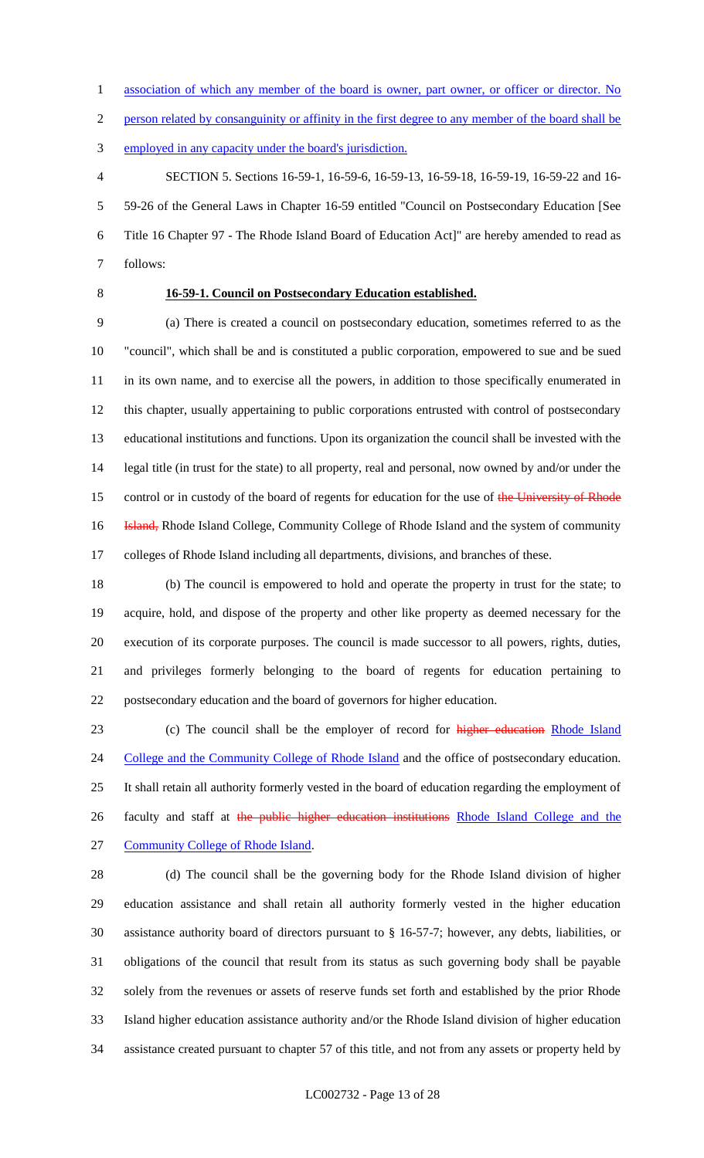1 association of which any member of the board is owner, part owner, or officer or director. No

person related by consanguinity or affinity in the first degree to any member of the board shall be

employed in any capacity under the board's jurisdiction.

 SECTION 5. Sections 16-59-1, 16-59-6, 16-59-13, 16-59-18, 16-59-19, 16-59-22 and 16- 59-26 of the General Laws in Chapter 16-59 entitled "Council on Postsecondary Education [See Title 16 Chapter 97 - The Rhode Island Board of Education Act]" are hereby amended to read as follows:

## **16-59-1. Council on Postsecondary Education established.**

 (a) There is created a council on postsecondary education, sometimes referred to as the "council", which shall be and is constituted a public corporation, empowered to sue and be sued 11 in its own name, and to exercise all the powers, in addition to those specifically enumerated in this chapter, usually appertaining to public corporations entrusted with control of postsecondary educational institutions and functions. Upon its organization the council shall be invested with the legal title (in trust for the state) to all property, real and personal, now owned by and/or under the 15 control or in custody of the board of regents for education for the use of the University of Rhode **Island, Rhode Island College, Community College of Rhode Island and the system of community** colleges of Rhode Island including all departments, divisions, and branches of these.

 (b) The council is empowered to hold and operate the property in trust for the state; to acquire, hold, and dispose of the property and other like property as deemed necessary for the execution of its corporate purposes. The council is made successor to all powers, rights, duties, and privileges formerly belonging to the board of regents for education pertaining to postsecondary education and the board of governors for higher education.

23 (c) The council shall be the employer of record for higher education Rhode Island 24 College and the Community College of Rhode Island and the office of postsecondary education. It shall retain all authority formerly vested in the board of education regarding the employment of 26 faculty and staff at the public higher education institutions Rhode Island College and the Community College of Rhode Island.

 (d) The council shall be the governing body for the Rhode Island division of higher education assistance and shall retain all authority formerly vested in the higher education assistance authority board of directors pursuant to § 16-57-7; however, any debts, liabilities, or

 obligations of the council that result from its status as such governing body shall be payable solely from the revenues or assets of reserve funds set forth and established by the prior Rhode Island higher education assistance authority and/or the Rhode Island division of higher education assistance created pursuant to chapter 57 of this title, and not from any assets or property held by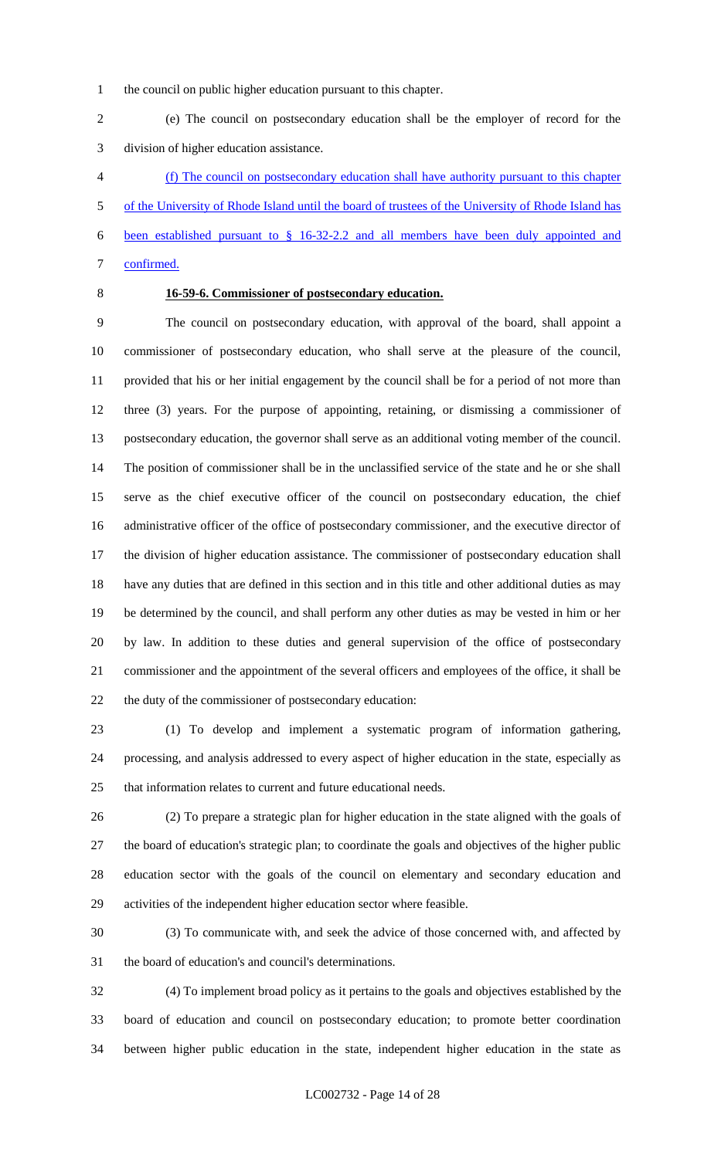the council on public higher education pursuant to this chapter.

 (e) The council on postsecondary education shall be the employer of record for the division of higher education assistance.

 (f) The council on postsecondary education shall have authority pursuant to this chapter of the University of Rhode Island until the board of trustees of the University of Rhode Island has been established pursuant to § 16-32-2.2 and all members have been duly appointed and confirmed.

## **16-59-6. Commissioner of postsecondary education.**

 The council on postsecondary education, with approval of the board, shall appoint a commissioner of postsecondary education, who shall serve at the pleasure of the council, provided that his or her initial engagement by the council shall be for a period of not more than three (3) years. For the purpose of appointing, retaining, or dismissing a commissioner of postsecondary education, the governor shall serve as an additional voting member of the council. The position of commissioner shall be in the unclassified service of the state and he or she shall serve as the chief executive officer of the council on postsecondary education, the chief administrative officer of the office of postsecondary commissioner, and the executive director of the division of higher education assistance. The commissioner of postsecondary education shall have any duties that are defined in this section and in this title and other additional duties as may be determined by the council, and shall perform any other duties as may be vested in him or her by law. In addition to these duties and general supervision of the office of postsecondary commissioner and the appointment of the several officers and employees of the office, it shall be the duty of the commissioner of postsecondary education:

 (1) To develop and implement a systematic program of information gathering, processing, and analysis addressed to every aspect of higher education in the state, especially as that information relates to current and future educational needs.

 (2) To prepare a strategic plan for higher education in the state aligned with the goals of the board of education's strategic plan; to coordinate the goals and objectives of the higher public education sector with the goals of the council on elementary and secondary education and activities of the independent higher education sector where feasible.

 (3) To communicate with, and seek the advice of those concerned with, and affected by the board of education's and council's determinations.

 (4) To implement broad policy as it pertains to the goals and objectives established by the board of education and council on postsecondary education; to promote better coordination between higher public education in the state, independent higher education in the state as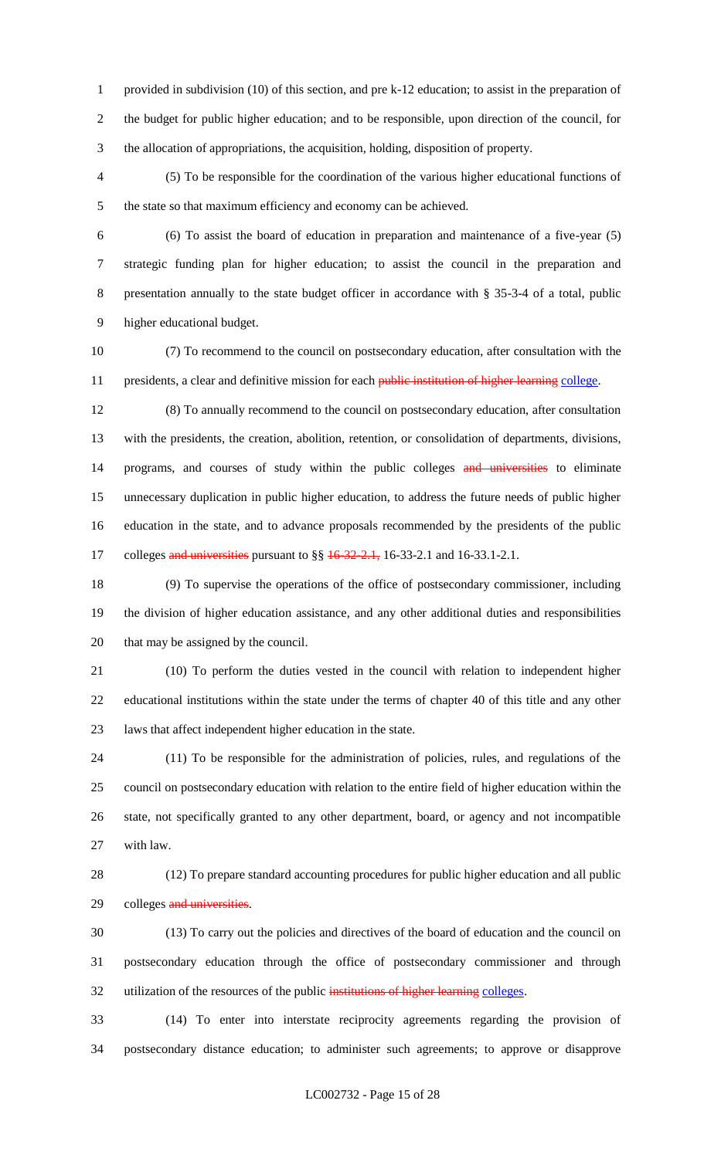provided in subdivision (10) of this section, and pre k-12 education; to assist in the preparation of the budget for public higher education; and to be responsible, upon direction of the council, for the allocation of appropriations, the acquisition, holding, disposition of property.

 (5) To be responsible for the coordination of the various higher educational functions of the state so that maximum efficiency and economy can be achieved.

 (6) To assist the board of education in preparation and maintenance of a five-year (5) strategic funding plan for higher education; to assist the council in the preparation and presentation annually to the state budget officer in accordance with § 35-3-4 of a total, public higher educational budget.

 (7) To recommend to the council on postsecondary education, after consultation with the 11 presidents, a clear and definitive mission for each public institution of higher learning college.

 (8) To annually recommend to the council on postsecondary education, after consultation with the presidents, the creation, abolition, retention, or consolidation of departments, divisions, 14 programs, and courses of study within the public colleges and universities to eliminate unnecessary duplication in public higher education, to address the future needs of public higher education in the state, and to advance proposals recommended by the presidents of the public 17 colleges and universities pursuant to §§ 16-32-2.1, 16-33-2.1 and 16-33.1-2.1.

 (9) To supervise the operations of the office of postsecondary commissioner, including the division of higher education assistance, and any other additional duties and responsibilities that may be assigned by the council.

 (10) To perform the duties vested in the council with relation to independent higher educational institutions within the state under the terms of chapter 40 of this title and any other laws that affect independent higher education in the state.

 (11) To be responsible for the administration of policies, rules, and regulations of the council on postsecondary education with relation to the entire field of higher education within the state, not specifically granted to any other department, board, or agency and not incompatible with law.

 (12) To prepare standard accounting procedures for public higher education and all public 29 colleges and universities.

 (13) To carry out the policies and directives of the board of education and the council on postsecondary education through the office of postsecondary commissioner and through utilization of the resources of the public institutions of higher learning colleges.

 (14) To enter into interstate reciprocity agreements regarding the provision of postsecondary distance education; to administer such agreements; to approve or disapprove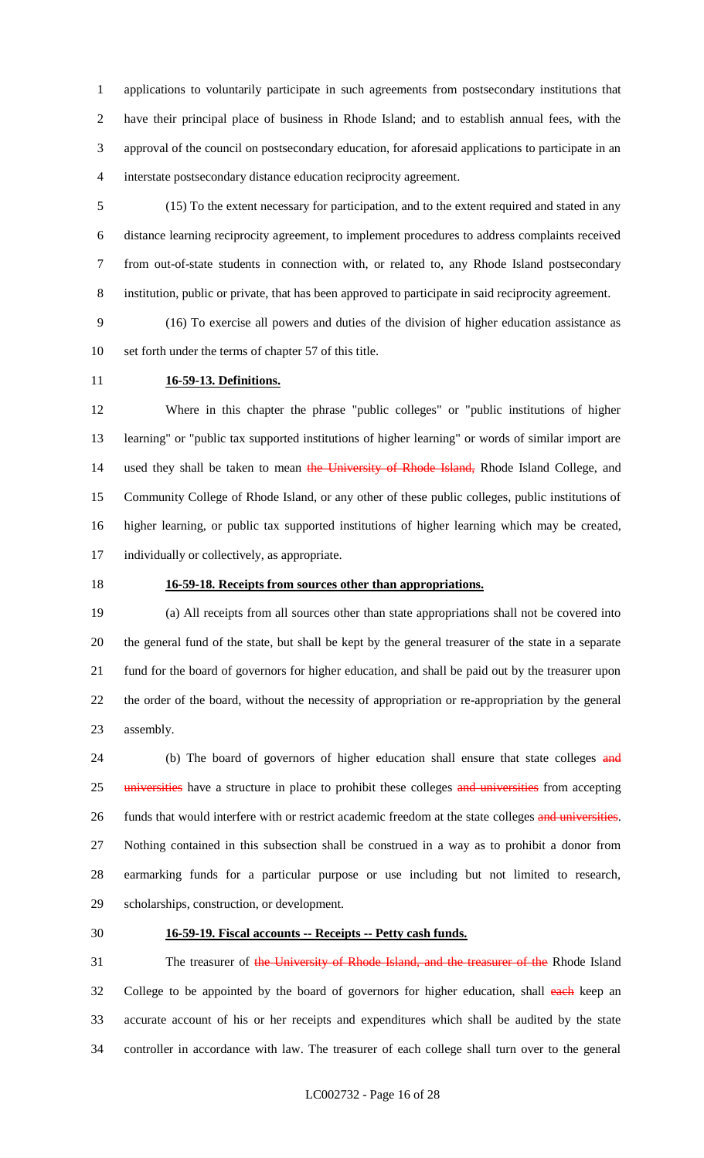applications to voluntarily participate in such agreements from postsecondary institutions that have their principal place of business in Rhode Island; and to establish annual fees, with the approval of the council on postsecondary education, for aforesaid applications to participate in an interstate postsecondary distance education reciprocity agreement.

 (15) To the extent necessary for participation, and to the extent required and stated in any distance learning reciprocity agreement, to implement procedures to address complaints received from out-of-state students in connection with, or related to, any Rhode Island postsecondary institution, public or private, that has been approved to participate in said reciprocity agreement.

 (16) To exercise all powers and duties of the division of higher education assistance as set forth under the terms of chapter 57 of this title.

## **16-59-13. Definitions.**

 Where in this chapter the phrase "public colleges" or "public institutions of higher learning" or "public tax supported institutions of higher learning" or words of similar import are 14 used they shall be taken to mean the University of Rhode Island, Rhode Island College, and Community College of Rhode Island, or any other of these public colleges, public institutions of higher learning, or public tax supported institutions of higher learning which may be created, individually or collectively, as appropriate.

## **16-59-18. Receipts from sources other than appropriations.**

 (a) All receipts from all sources other than state appropriations shall not be covered into the general fund of the state, but shall be kept by the general treasurer of the state in a separate fund for the board of governors for higher education, and shall be paid out by the treasurer upon the order of the board, without the necessity of appropriation or re-appropriation by the general assembly.

24 (b) The board of governors of higher education shall ensure that state colleges and 25 universities have a structure in place to prohibit these colleges and universities from accepting 26 funds that would interfere with or restrict academic freedom at the state colleges and universities. Nothing contained in this subsection shall be construed in a way as to prohibit a donor from earmarking funds for a particular purpose or use including but not limited to research, scholarships, construction, or development.

#### **16-59-19. Fiscal accounts -- Receipts -- Petty cash funds.**

31 The treasurer of the University of Rhode Island, and the treasurer of the Rhode Island 32 College to be appointed by the board of governors for higher education, shall each keep an accurate account of his or her receipts and expenditures which shall be audited by the state controller in accordance with law. The treasurer of each college shall turn over to the general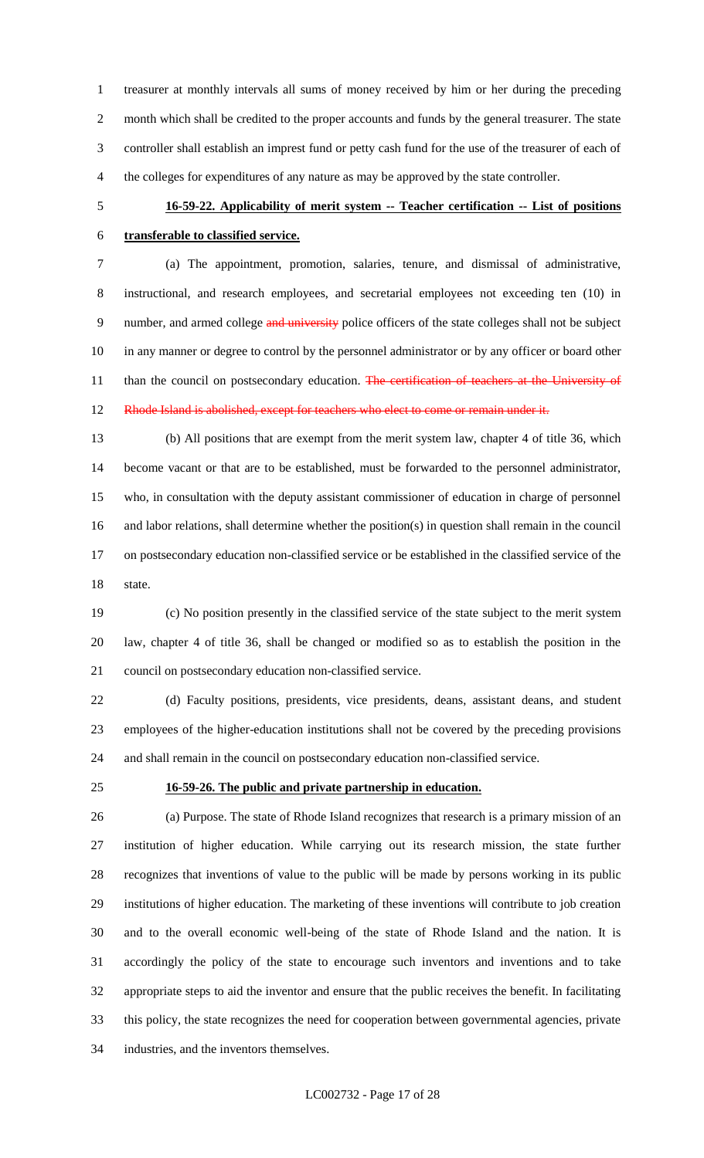treasurer at monthly intervals all sums of money received by him or her during the preceding month which shall be credited to the proper accounts and funds by the general treasurer. The state controller shall establish an imprest fund or petty cash fund for the use of the treasurer of each of the colleges for expenditures of any nature as may be approved by the state controller.

# **16-59-22. Applicability of merit system -- Teacher certification -- List of positions transferable to classified service.**

 (a) The appointment, promotion, salaries, tenure, and dismissal of administrative, instructional, and research employees, and secretarial employees not exceeding ten (10) in 9 number, and armed college and university police officers of the state colleges shall not be subject in any manner or degree to control by the personnel administrator or by any officer or board other 11 than the council on postsecondary education. The certification of teachers at the University of Rhode Island is abolished, except for teachers who elect to come or remain under it.

 (b) All positions that are exempt from the merit system law, chapter 4 of title 36, which become vacant or that are to be established, must be forwarded to the personnel administrator, who, in consultation with the deputy assistant commissioner of education in charge of personnel and labor relations, shall determine whether the position(s) in question shall remain in the council on postsecondary education non-classified service or be established in the classified service of the state.

 (c) No position presently in the classified service of the state subject to the merit system law, chapter 4 of title 36, shall be changed or modified so as to establish the position in the council on postsecondary education non-classified service.

 (d) Faculty positions, presidents, vice presidents, deans, assistant deans, and student employees of the higher-education institutions shall not be covered by the preceding provisions and shall remain in the council on postsecondary education non-classified service.

## **16-59-26. The public and private partnership in education.**

 (a) Purpose. The state of Rhode Island recognizes that research is a primary mission of an institution of higher education. While carrying out its research mission, the state further recognizes that inventions of value to the public will be made by persons working in its public institutions of higher education. The marketing of these inventions will contribute to job creation and to the overall economic well-being of the state of Rhode Island and the nation. It is accordingly the policy of the state to encourage such inventors and inventions and to take appropriate steps to aid the inventor and ensure that the public receives the benefit. In facilitating this policy, the state recognizes the need for cooperation between governmental agencies, private industries, and the inventors themselves.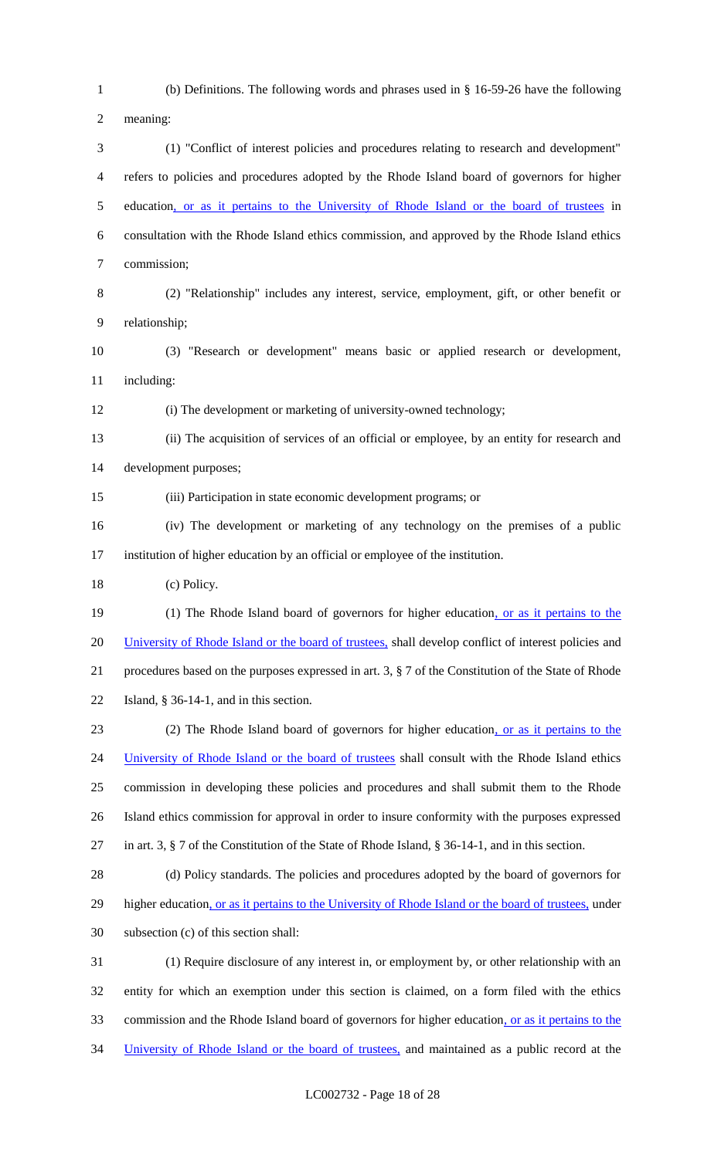(b) Definitions. The following words and phrases used in § 16-59-26 have the following meaning: (1) "Conflict of interest policies and procedures relating to research and development" refers to policies and procedures adopted by the Rhode Island board of governors for higher education, or as it pertains to the University of Rhode Island or the board of trustees in consultation with the Rhode Island ethics commission, and approved by the Rhode Island ethics commission; (2) "Relationship" includes any interest, service, employment, gift, or other benefit or relationship; (3) "Research or development" means basic or applied research or development, including: (i) The development or marketing of university-owned technology; (ii) The acquisition of services of an official or employee, by an entity for research and development purposes; (iii) Participation in state economic development programs; or (iv) The development or marketing of any technology on the premises of a public institution of higher education by an official or employee of the institution. (c) Policy. 19 (1) The Rhode Island board of governors for higher education, or as it pertains to the 20 University of Rhode Island or the board of trustees, shall develop conflict of interest policies and procedures based on the purposes expressed in art. 3, § 7 of the Constitution of the State of Rhode Island, § 36-14-1, and in this section. (2) The Rhode Island board of governors for higher education, or as it pertains to the 24 University of Rhode Island or the board of trustees shall consult with the Rhode Island ethics commission in developing these policies and procedures and shall submit them to the Rhode Island ethics commission for approval in order to insure conformity with the purposes expressed in art. 3, § 7 of the Constitution of the State of Rhode Island, § 36-14-1, and in this section. (d) Policy standards. The policies and procedures adopted by the board of governors for 29 higher education, or as it pertains to the University of Rhode Island or the board of trustees, under subsection (c) of this section shall: (1) Require disclosure of any interest in, or employment by, or other relationship with an entity for which an exemption under this section is claimed, on a form filed with the ethics commission and the Rhode Island board of governors for higher education, or as it pertains to the University of Rhode Island or the board of trustees, and maintained as a public record at the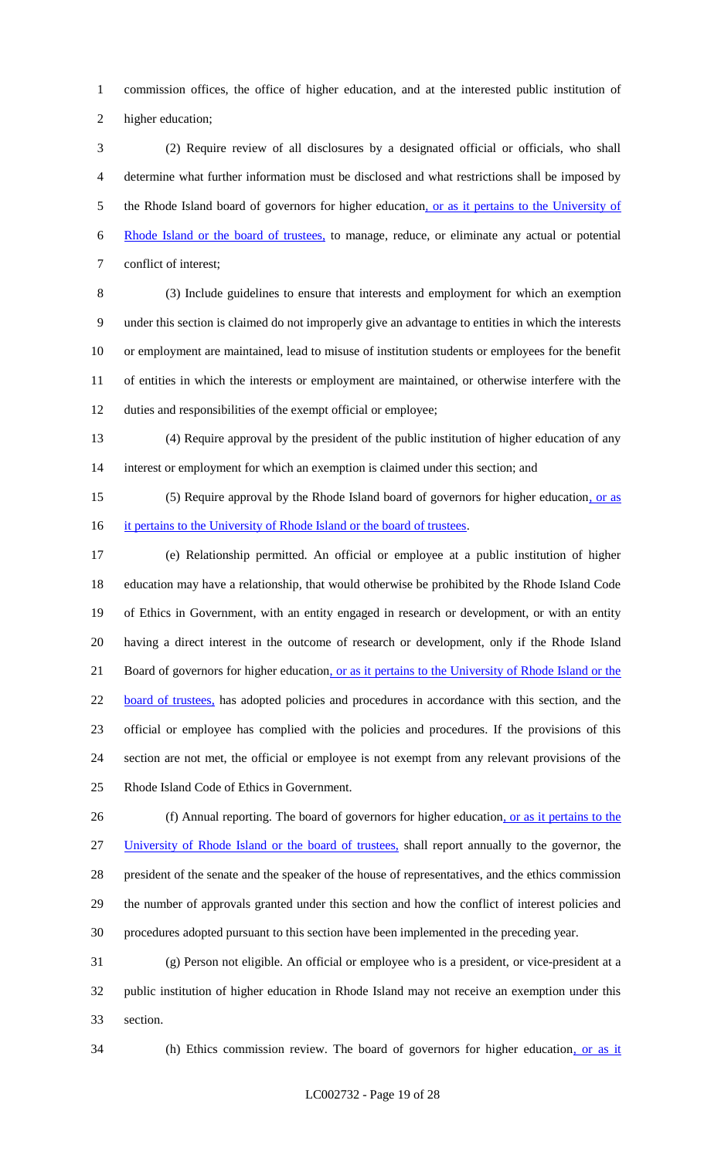commission offices, the office of higher education, and at the interested public institution of higher education;

 (2) Require review of all disclosures by a designated official or officials, who shall determine what further information must be disclosed and what restrictions shall be imposed by 5 the Rhode Island board of governors for higher education, or as it pertains to the University of Rhode Island or the board of trustees, to manage, reduce, or eliminate any actual or potential conflict of interest;

 (3) Include guidelines to ensure that interests and employment for which an exemption under this section is claimed do not improperly give an advantage to entities in which the interests or employment are maintained, lead to misuse of institution students or employees for the benefit of entities in which the interests or employment are maintained, or otherwise interfere with the duties and responsibilities of the exempt official or employee;

 (4) Require approval by the president of the public institution of higher education of any interest or employment for which an exemption is claimed under this section; and

15 (5) Require approval by the Rhode Island board of governors for higher education, or as 16 it pertains to the University of Rhode Island or the board of trustees.

 (e) Relationship permitted. An official or employee at a public institution of higher education may have a relationship, that would otherwise be prohibited by the Rhode Island Code of Ethics in Government, with an entity engaged in research or development, or with an entity having a direct interest in the outcome of research or development, only if the Rhode Island Board of governors for higher education, or as it pertains to the University of Rhode Island or the 22 board of trustees, has adopted policies and procedures in accordance with this section, and the official or employee has complied with the policies and procedures. If the provisions of this section are not met, the official or employee is not exempt from any relevant provisions of the Rhode Island Code of Ethics in Government.

26 (f) Annual reporting. The board of governors for higher education, or as it pertains to the University of Rhode Island or the board of trustees, shall report annually to the governor, the president of the senate and the speaker of the house of representatives, and the ethics commission the number of approvals granted under this section and how the conflict of interest policies and procedures adopted pursuant to this section have been implemented in the preceding year.

 (g) Person not eligible. An official or employee who is a president, or vice-president at a public institution of higher education in Rhode Island may not receive an exemption under this section.

34 (h) Ethics commission review. The board of governors for higher education, or as it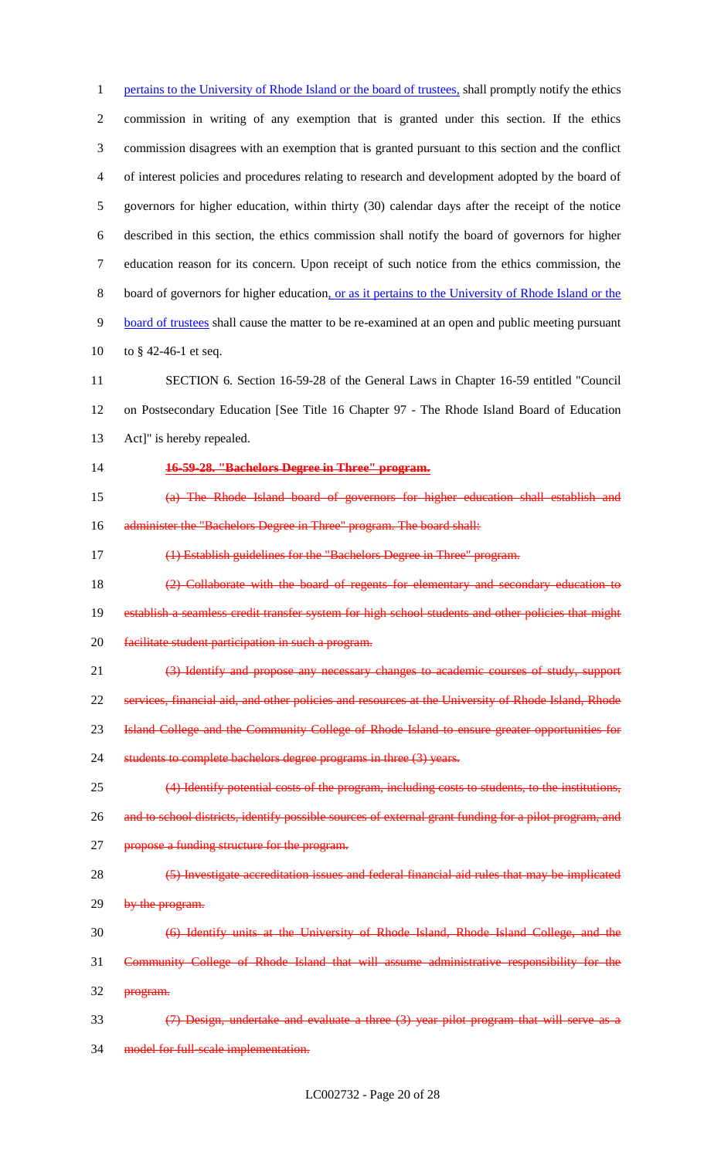1 pertains to the University of Rhode Island or the board of trustees, shall promptly notify the ethics commission in writing of any exemption that is granted under this section. If the ethics commission disagrees with an exemption that is granted pursuant to this section and the conflict of interest policies and procedures relating to research and development adopted by the board of governors for higher education, within thirty (30) calendar days after the receipt of the notice described in this section, the ethics commission shall notify the board of governors for higher education reason for its concern. Upon receipt of such notice from the ethics commission, the board of governors for higher education, or as it pertains to the University of Rhode Island or the board of trustees shall cause the matter to be re-examined at an open and public meeting pursuant to § 42-46-1 et seq.

 SECTION 6. Section 16-59-28 of the General Laws in Chapter 16-59 entitled "Council on Postsecondary Education [See Title 16 Chapter 97 - The Rhode Island Board of Education Act]" is hereby repealed.

**16-59-28. "Bachelors Degree in Three" program.**

 (a) The Rhode Island board of governors for higher education shall establish and 16 administer the "Bachelors Degree in Three" program. The board shall:

17 (1) Establish guidelines for the "Bachelors Degree in Three" program.

18 (2) Collaborate with the board of regents for elementary and secondary education to 19 establish a seamless credit transfer system for high school students and other policies that might

facilitate student participation in such a program.

(3) Identify and propose any necessary changes to academic courses of study, support

services, financial aid, and other policies and resources at the University of Rhode Island, Rhode

Island College and the Community College of Rhode Island to ensure greater opportunities for

students to complete bachelors degree programs in three (3) years.

 (4) Identify potential costs of the program, including costs to students, to the institutions, 26 and to school districts, identify possible sources of external grant funding for a pilot program, and

27 propose a funding structure for the program.

 (5) Investigate accreditation issues and federal financial aid rules that may be implicated 29 by the program.

(6) Identify units at the University of Rhode Island, Rhode Island College, and the

 Community College of Rhode Island that will assume administrative responsibility for the 32 program.

 (7) Design, undertake and evaluate a three (3) year pilot program that will serve as a model for full-scale implementation.

LC002732 - Page 20 of 28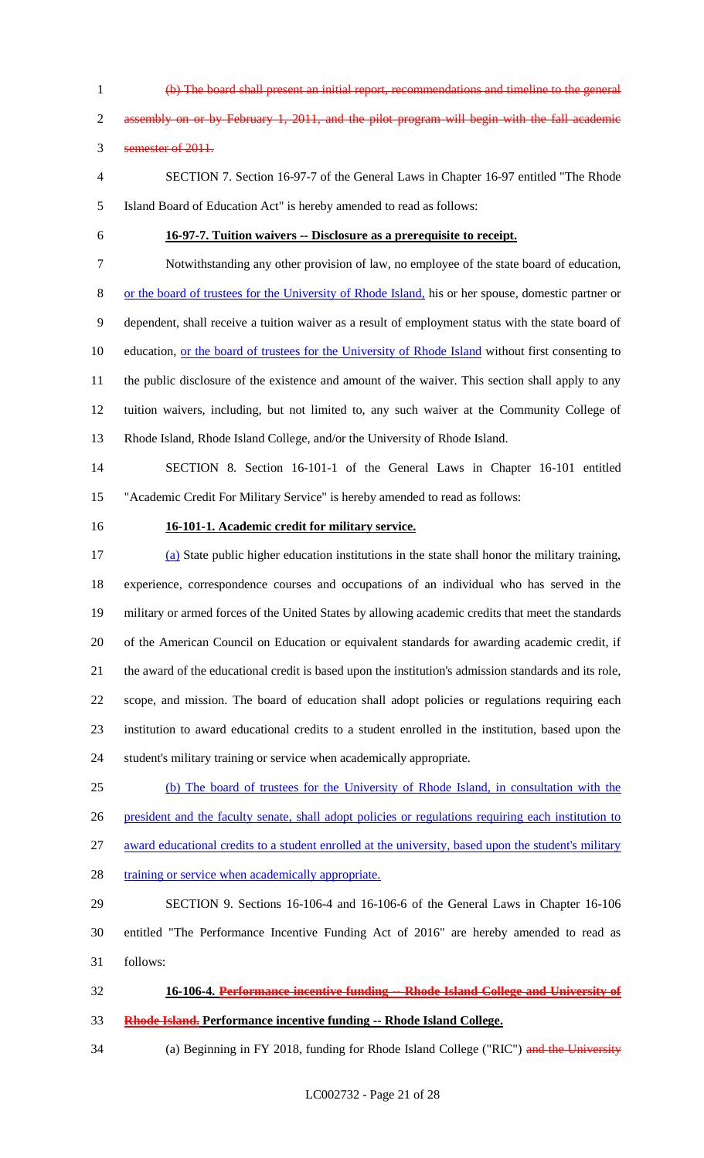- 
- (b) The board shall present an initial report, recommendations and timeline to the general

2 assembly on or by February 1, 2011, and the pilot program will begin with the fall academic

semester of 2011.

- SECTION 7. Section 16-97-7 of the General Laws in Chapter 16-97 entitled "The Rhode Island Board of Education Act" is hereby amended to read as follows:
- 

## **16-97-7. Tuition waivers -- Disclosure as a prerequisite to receipt.**

Notwithstanding any other provision of law, no employee of the state board of education,

 or the board of trustees for the University of Rhode Island, his or her spouse, domestic partner or dependent, shall receive a tuition waiver as a result of employment status with the state board of 10 education, <u>or the board of trustees for the University of Rhode Island</u> without first consenting to the public disclosure of the existence and amount of the waiver. This section shall apply to any

 tuition waivers, including, but not limited to, any such waiver at the Community College of Rhode Island, Rhode Island College, and/or the University of Rhode Island.

 SECTION 8. Section 16-101-1 of the General Laws in Chapter 16-101 entitled "Academic Credit For Military Service" is hereby amended to read as follows:

## **16-101-1. Academic credit for military service.**

 (a) State public higher education institutions in the state shall honor the military training, experience, correspondence courses and occupations of an individual who has served in the military or armed forces of the United States by allowing academic credits that meet the standards of the American Council on Education or equivalent standards for awarding academic credit, if the award of the educational credit is based upon the institution's admission standards and its role, scope, and mission. The board of education shall adopt policies or regulations requiring each institution to award educational credits to a student enrolled in the institution, based upon the student's military training or service when academically appropriate.

 (b) The board of trustees for the University of Rhode Island, in consultation with the president and the faculty senate, shall adopt policies or regulations requiring each institution to

award educational credits to a student enrolled at the university, based upon the student's military

28 training or service when academically appropriate.

 SECTION 9. Sections 16-106-4 and 16-106-6 of the General Laws in Chapter 16-106 entitled "The Performance Incentive Funding Act of 2016" are hereby amended to read as follows:

**16-106-4. Performance incentive funding -- Rhode Island College and University of** 

**Rhode Island. Performance incentive funding -- Rhode Island College.**

34 (a) Beginning in FY 2018, funding for Rhode Island College ("RIC") and the University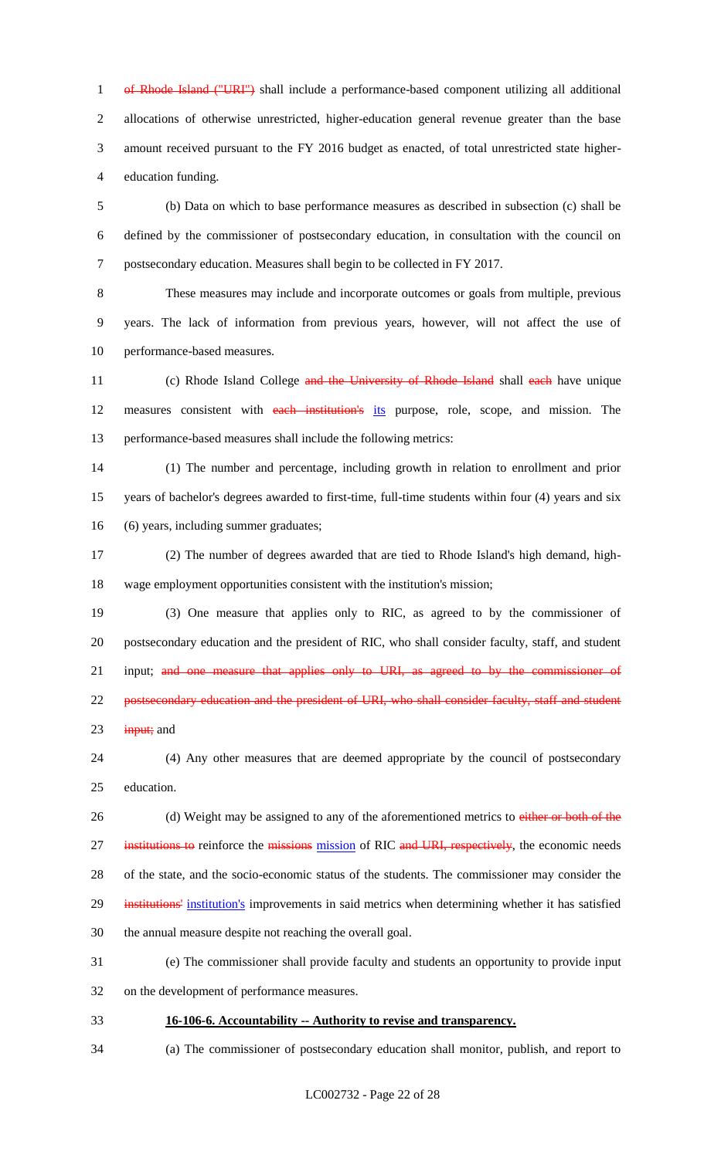1 of Rhode Island ("URI") shall include a performance-based component utilizing all additional allocations of otherwise unrestricted, higher-education general revenue greater than the base amount received pursuant to the FY 2016 budget as enacted, of total unrestricted state higher-education funding.

 (b) Data on which to base performance measures as described in subsection (c) shall be defined by the commissioner of postsecondary education, in consultation with the council on postsecondary education. Measures shall begin to be collected in FY 2017.

 These measures may include and incorporate outcomes or goals from multiple, previous years. The lack of information from previous years, however, will not affect the use of performance-based measures.

11 (c) Rhode Island College and the University of Rhode Island shall each have unique 12 measures consistent with each institution's its purpose, role, scope, and mission. The performance-based measures shall include the following metrics:

 (1) The number and percentage, including growth in relation to enrollment and prior years of bachelor's degrees awarded to first-time, full-time students within four (4) years and six (6) years, including summer graduates;

 (2) The number of degrees awarded that are tied to Rhode Island's high demand, high-wage employment opportunities consistent with the institution's mission;

 (3) One measure that applies only to RIC, as agreed to by the commissioner of postsecondary education and the president of RIC, who shall consider faculty, staff, and student 21 input; and one measure that applies only to URI, as agreed to by the commissioner of 22 postsecondary education and the president of URI, who shall consider faculty, staff and student input; and

 (4) Any other measures that are deemed appropriate by the council of postsecondary education.

26 (d) Weight may be assigned to any of the aforementioned metrics to either or both of the 27 institutions to reinforce the missions mission of RIC and URI, respectively, the economic needs of the state, and the socio-economic status of the students. The commissioner may consider the 29 institutions' institution's improvements in said metrics when determining whether it has satisfied the annual measure despite not reaching the overall goal.

 (e) The commissioner shall provide faculty and students an opportunity to provide input on the development of performance measures.

**16-106-6. Accountability -- Authority to revise and transparency.**

(a) The commissioner of postsecondary education shall monitor, publish, and report to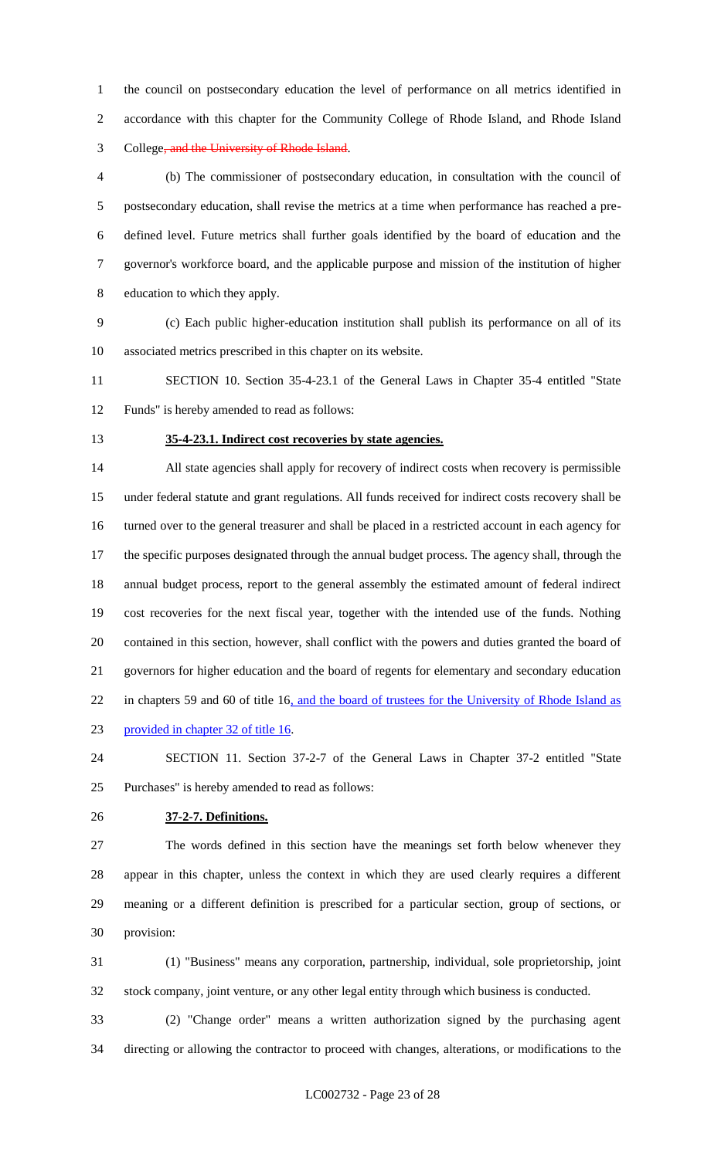the council on postsecondary education the level of performance on all metrics identified in accordance with this chapter for the Community College of Rhode Island, and Rhode Island College, and the University of Rhode Island.

 (b) The commissioner of postsecondary education, in consultation with the council of postsecondary education, shall revise the metrics at a time when performance has reached a pre- defined level. Future metrics shall further goals identified by the board of education and the governor's workforce board, and the applicable purpose and mission of the institution of higher education to which they apply.

 (c) Each public higher-education institution shall publish its performance on all of its associated metrics prescribed in this chapter on its website.

 SECTION 10. Section 35-4-23.1 of the General Laws in Chapter 35-4 entitled "State Funds" is hereby amended to read as follows:

#### **35-4-23.1. Indirect cost recoveries by state agencies.**

 All state agencies shall apply for recovery of indirect costs when recovery is permissible under federal statute and grant regulations. All funds received for indirect costs recovery shall be turned over to the general treasurer and shall be placed in a restricted account in each agency for the specific purposes designated through the annual budget process. The agency shall, through the annual budget process, report to the general assembly the estimated amount of federal indirect cost recoveries for the next fiscal year, together with the intended use of the funds. Nothing contained in this section, however, shall conflict with the powers and duties granted the board of governors for higher education and the board of regents for elementary and secondary education 22 in chapters 59 and 60 of title 16, and the board of trustees for the University of Rhode Island as provided in chapter 32 of title 16.

 SECTION 11. Section 37-2-7 of the General Laws in Chapter 37-2 entitled "State Purchases" is hereby amended to read as follows:

#### **37-2-7. Definitions.**

 The words defined in this section have the meanings set forth below whenever they appear in this chapter, unless the context in which they are used clearly requires a different meaning or a different definition is prescribed for a particular section, group of sections, or provision:

 (1) "Business" means any corporation, partnership, individual, sole proprietorship, joint stock company, joint venture, or any other legal entity through which business is conducted.

 (2) "Change order" means a written authorization signed by the purchasing agent directing or allowing the contractor to proceed with changes, alterations, or modifications to the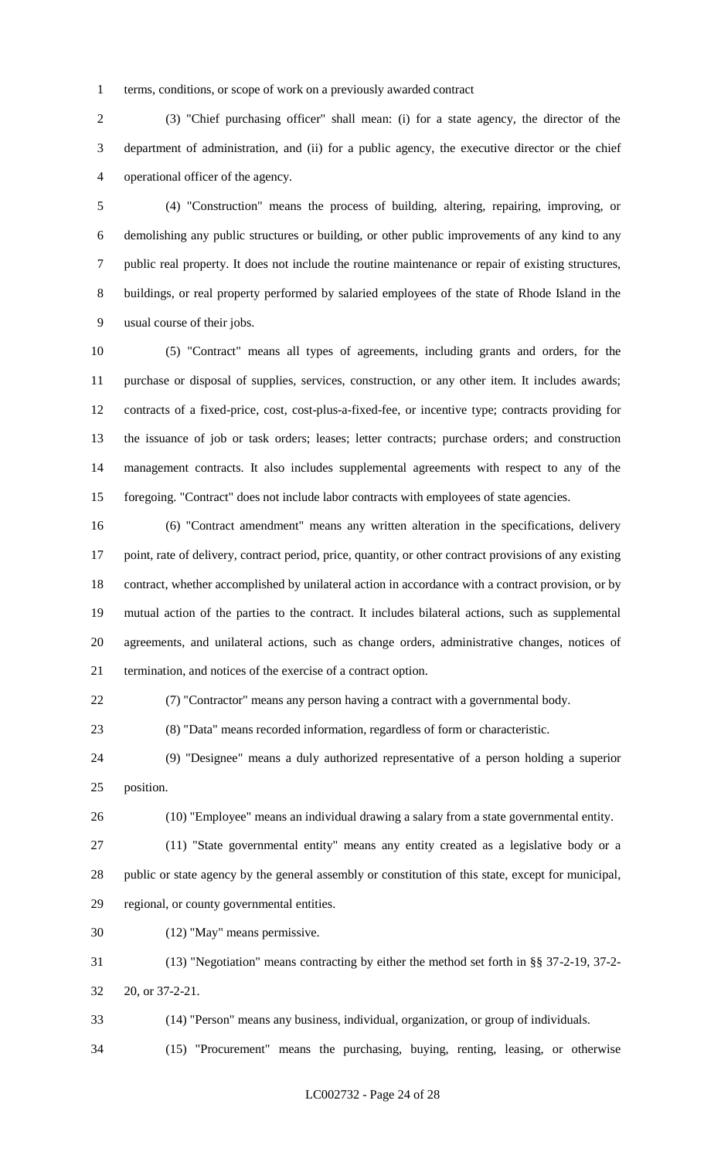terms, conditions, or scope of work on a previously awarded contract

 (3) "Chief purchasing officer" shall mean: (i) for a state agency, the director of the department of administration, and (ii) for a public agency, the executive director or the chief operational officer of the agency.

 (4) "Construction" means the process of building, altering, repairing, improving, or demolishing any public structures or building, or other public improvements of any kind to any public real property. It does not include the routine maintenance or repair of existing structures, buildings, or real property performed by salaried employees of the state of Rhode Island in the usual course of their jobs.

 (5) "Contract" means all types of agreements, including grants and orders, for the purchase or disposal of supplies, services, construction, or any other item. It includes awards; contracts of a fixed-price, cost, cost-plus-a-fixed-fee, or incentive type; contracts providing for the issuance of job or task orders; leases; letter contracts; purchase orders; and construction management contracts. It also includes supplemental agreements with respect to any of the foregoing. "Contract" does not include labor contracts with employees of state agencies.

 (6) "Contract amendment" means any written alteration in the specifications, delivery point, rate of delivery, contract period, price, quantity, or other contract provisions of any existing contract, whether accomplished by unilateral action in accordance with a contract provision, or by mutual action of the parties to the contract. It includes bilateral actions, such as supplemental agreements, and unilateral actions, such as change orders, administrative changes, notices of termination, and notices of the exercise of a contract option.

(7) "Contractor" means any person having a contract with a governmental body.

(8) "Data" means recorded information, regardless of form or characteristic.

 (9) "Designee" means a duly authorized representative of a person holding a superior position.

(10) "Employee" means an individual drawing a salary from a state governmental entity.

 (11) "State governmental entity" means any entity created as a legislative body or a public or state agency by the general assembly or constitution of this state, except for municipal, regional, or county governmental entities.

(12) "May" means permissive.

 (13) "Negotiation" means contracting by either the method set forth in §§ 37-2-19, 37-2- 20, or 37-2-21.

(14) "Person" means any business, individual, organization, or group of individuals.

(15) "Procurement" means the purchasing, buying, renting, leasing, or otherwise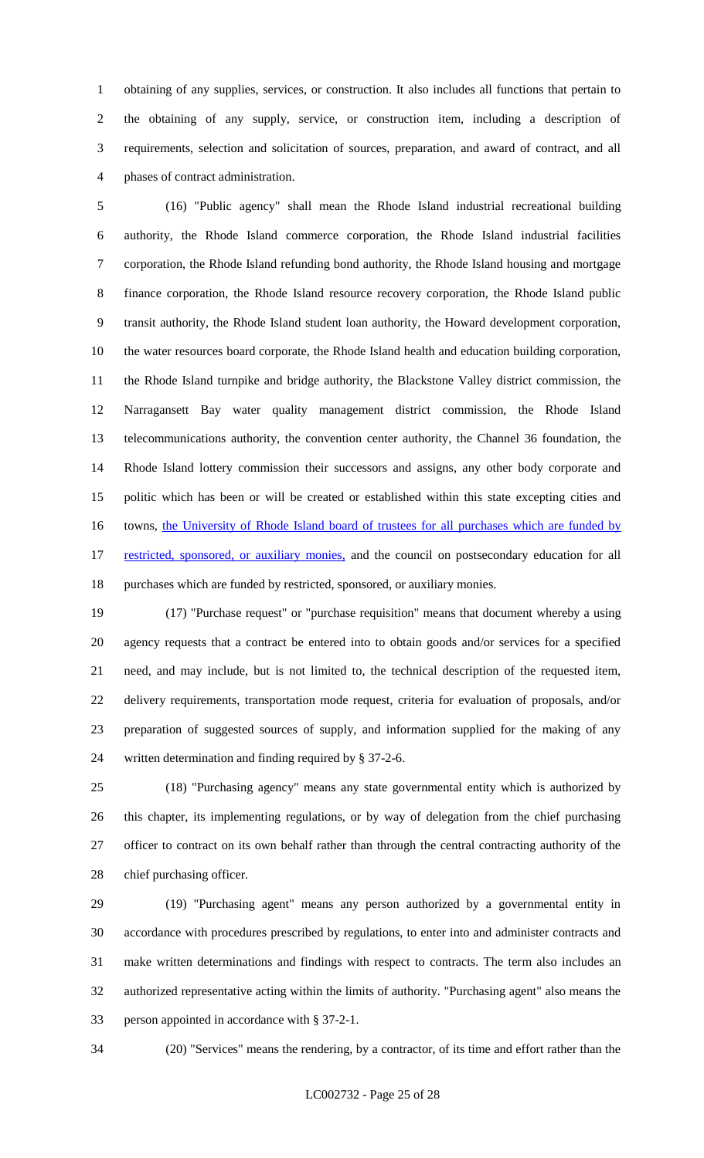obtaining of any supplies, services, or construction. It also includes all functions that pertain to the obtaining of any supply, service, or construction item, including a description of requirements, selection and solicitation of sources, preparation, and award of contract, and all phases of contract administration.

 (16) "Public agency" shall mean the Rhode Island industrial recreational building authority, the Rhode Island commerce corporation, the Rhode Island industrial facilities corporation, the Rhode Island refunding bond authority, the Rhode Island housing and mortgage finance corporation, the Rhode Island resource recovery corporation, the Rhode Island public transit authority, the Rhode Island student loan authority, the Howard development corporation, the water resources board corporate, the Rhode Island health and education building corporation, the Rhode Island turnpike and bridge authority, the Blackstone Valley district commission, the Narragansett Bay water quality management district commission, the Rhode Island telecommunications authority, the convention center authority, the Channel 36 foundation, the Rhode Island lottery commission their successors and assigns, any other body corporate and politic which has been or will be created or established within this state excepting cities and 16 towns, the University of Rhode Island board of trustees for all purchases which are funded by 17 restricted, sponsored, or auxiliary monies, and the council on postsecondary education for all purchases which are funded by restricted, sponsored, or auxiliary monies.

 (17) "Purchase request" or "purchase requisition" means that document whereby a using agency requests that a contract be entered into to obtain goods and/or services for a specified need, and may include, but is not limited to, the technical description of the requested item, delivery requirements, transportation mode request, criteria for evaluation of proposals, and/or preparation of suggested sources of supply, and information supplied for the making of any written determination and finding required by § 37-2-6.

 (18) "Purchasing agency" means any state governmental entity which is authorized by this chapter, its implementing regulations, or by way of delegation from the chief purchasing officer to contract on its own behalf rather than through the central contracting authority of the chief purchasing officer.

 (19) "Purchasing agent" means any person authorized by a governmental entity in accordance with procedures prescribed by regulations, to enter into and administer contracts and make written determinations and findings with respect to contracts. The term also includes an authorized representative acting within the limits of authority. "Purchasing agent" also means the person appointed in accordance with § 37-2-1.

(20) "Services" means the rendering, by a contractor, of its time and effort rather than the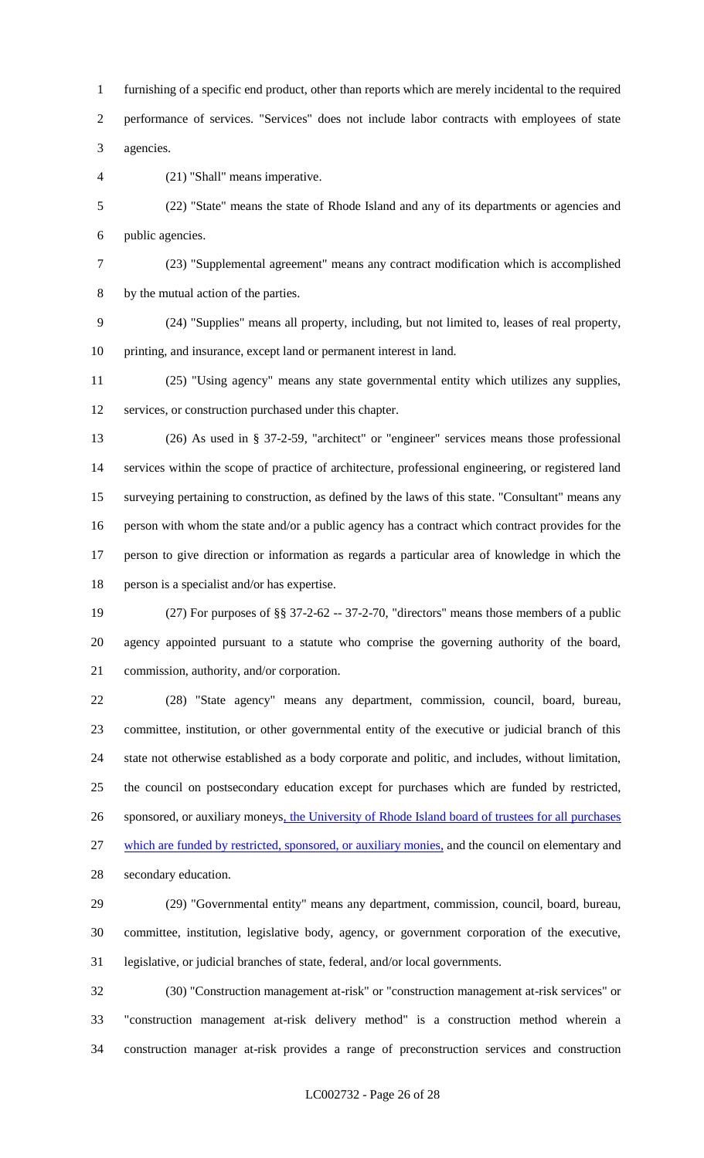furnishing of a specific end product, other than reports which are merely incidental to the required performance of services. "Services" does not include labor contracts with employees of state agencies.

(21) "Shall" means imperative.

 (22) "State" means the state of Rhode Island and any of its departments or agencies and public agencies.

 (23) "Supplemental agreement" means any contract modification which is accomplished by the mutual action of the parties.

 (24) "Supplies" means all property, including, but not limited to, leases of real property, printing, and insurance, except land or permanent interest in land.

 (25) "Using agency" means any state governmental entity which utilizes any supplies, services, or construction purchased under this chapter.

 (26) As used in § 37-2-59, "architect" or "engineer" services means those professional services within the scope of practice of architecture, professional engineering, or registered land surveying pertaining to construction, as defined by the laws of this state. "Consultant" means any person with whom the state and/or a public agency has a contract which contract provides for the person to give direction or information as regards a particular area of knowledge in which the person is a specialist and/or has expertise.

 (27) For purposes of §§ 37-2-62 -- 37-2-70, "directors" means those members of a public agency appointed pursuant to a statute who comprise the governing authority of the board, commission, authority, and/or corporation.

 (28) "State agency" means any department, commission, council, board, bureau, committee, institution, or other governmental entity of the executive or judicial branch of this state not otherwise established as a body corporate and politic, and includes, without limitation, the council on postsecondary education except for purchases which are funded by restricted, 26 sponsored, or auxiliary moneys, the University of Rhode Island board of trustees for all purchases which are funded by restricted, sponsored, or auxiliary monies, and the council on elementary and secondary education.

 (29) "Governmental entity" means any department, commission, council, board, bureau, committee, institution, legislative body, agency, or government corporation of the executive, legislative, or judicial branches of state, federal, and/or local governments.

 (30) "Construction management at-risk" or "construction management at-risk services" or "construction management at-risk delivery method" is a construction method wherein a construction manager at-risk provides a range of preconstruction services and construction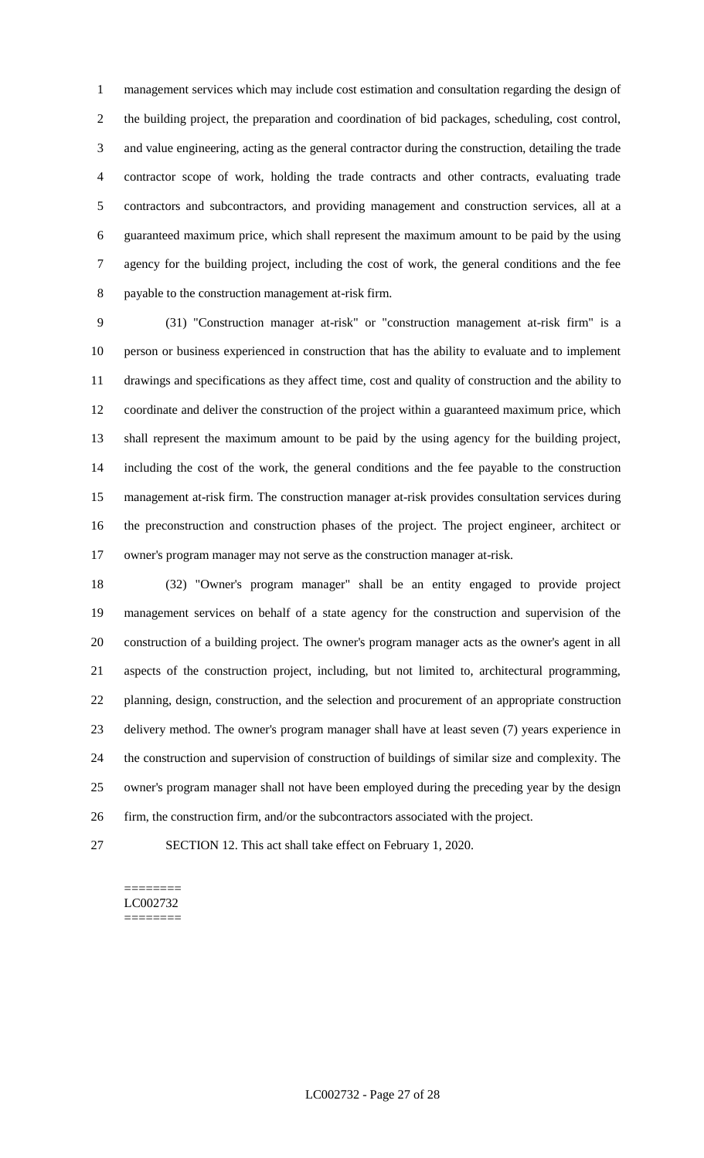management services which may include cost estimation and consultation regarding the design of the building project, the preparation and coordination of bid packages, scheduling, cost control, and value engineering, acting as the general contractor during the construction, detailing the trade contractor scope of work, holding the trade contracts and other contracts, evaluating trade contractors and subcontractors, and providing management and construction services, all at a guaranteed maximum price, which shall represent the maximum amount to be paid by the using agency for the building project, including the cost of work, the general conditions and the fee payable to the construction management at-risk firm.

 (31) "Construction manager at-risk" or "construction management at-risk firm" is a person or business experienced in construction that has the ability to evaluate and to implement drawings and specifications as they affect time, cost and quality of construction and the ability to coordinate and deliver the construction of the project within a guaranteed maximum price, which shall represent the maximum amount to be paid by the using agency for the building project, including the cost of the work, the general conditions and the fee payable to the construction management at-risk firm. The construction manager at-risk provides consultation services during the preconstruction and construction phases of the project. The project engineer, architect or owner's program manager may not serve as the construction manager at-risk.

 (32) "Owner's program manager" shall be an entity engaged to provide project management services on behalf of a state agency for the construction and supervision of the construction of a building project. The owner's program manager acts as the owner's agent in all aspects of the construction project, including, but not limited to, architectural programming, planning, design, construction, and the selection and procurement of an appropriate construction delivery method. The owner's program manager shall have at least seven (7) years experience in the construction and supervision of construction of buildings of similar size and complexity. The owner's program manager shall not have been employed during the preceding year by the design firm, the construction firm, and/or the subcontractors associated with the project.

SECTION 12. This act shall take effect on February 1, 2020.

#### ======== LC002732 ========